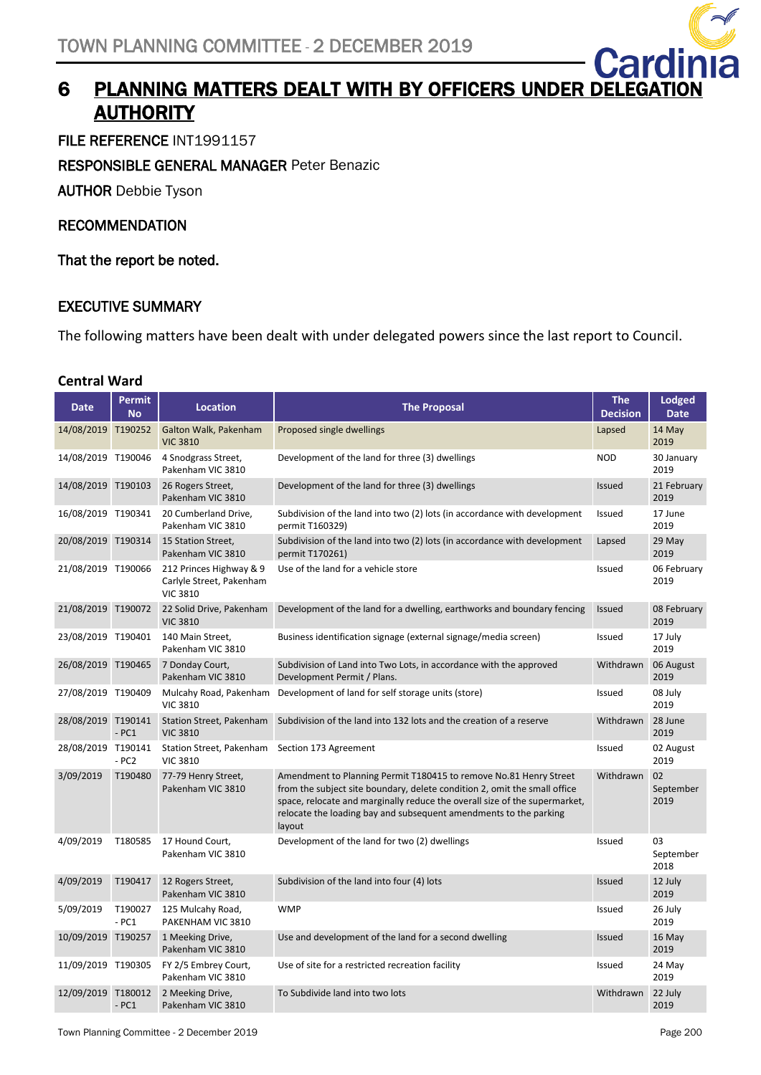

# 6 PLANNING MATTERS DEALT WITH BY OFFICERS UNDER DEL **AUTHORITY**

FILE REFERENCE INT1991157

RESPONSIBLE GENERAL MANAGER Peter Benazic

AUTHOR Debbie Tyson

#### RECOMMENDATION

That the report be noted.

#### EXECUTIVE SUMMARY

The following matters have been dealt with under delegated powers since the last report to Council.

#### **Central Ward**

| <b>Date</b>        | <b>Permit</b><br><b>No</b> | <b>Location</b>                                                        | <b>The Proposal</b>                                                                                                                                                                                                                                                                                         | <b>The</b><br><b>Decision</b> | <b>Lodged</b><br><b>Date</b> |
|--------------------|----------------------------|------------------------------------------------------------------------|-------------------------------------------------------------------------------------------------------------------------------------------------------------------------------------------------------------------------------------------------------------------------------------------------------------|-------------------------------|------------------------------|
| 14/08/2019 T190252 |                            | Galton Walk, Pakenham<br><b>VIC 3810</b>                               | Proposed single dwellings                                                                                                                                                                                                                                                                                   | Lapsed                        | 14 May<br>2019               |
| 14/08/2019 T190046 |                            | 4 Snodgrass Street,<br>Pakenham VIC 3810                               | Development of the land for three (3) dwellings                                                                                                                                                                                                                                                             | <b>NOD</b>                    | 30 January<br>2019           |
| 14/08/2019 T190103 |                            | 26 Rogers Street,<br>Pakenham VIC 3810                                 | Development of the land for three (3) dwellings                                                                                                                                                                                                                                                             | <b>Issued</b>                 | 21 February<br>2019          |
| 16/08/2019 T190341 |                            | 20 Cumberland Drive,<br>Pakenham VIC 3810                              | Subdivision of the land into two (2) lots (in accordance with development<br>permit T160329)                                                                                                                                                                                                                | Issued                        | 17 June<br>2019              |
| 20/08/2019 T190314 |                            | 15 Station Street,<br>Pakenham VIC 3810                                | Subdivision of the land into two (2) lots (in accordance with development<br>permit T170261)                                                                                                                                                                                                                | Lapsed                        | 29 May<br>2019               |
| 21/08/2019 T190066 |                            | 212 Princes Highway & 9<br>Carlyle Street, Pakenham<br><b>VIC 3810</b> | Use of the land for a vehicle store                                                                                                                                                                                                                                                                         | Issued                        | 06 February<br>2019          |
| 21/08/2019 T190072 |                            | 22 Solid Drive, Pakenham<br><b>VIC 3810</b>                            | Development of the land for a dwelling, earthworks and boundary fencing                                                                                                                                                                                                                                     | <b>Issued</b>                 | 08 February<br>2019          |
| 23/08/2019 T190401 |                            | 140 Main Street,<br>Pakenham VIC 3810                                  | Business identification signage (external signage/media screen)                                                                                                                                                                                                                                             | Issued                        | 17 July<br>2019              |
| 26/08/2019 T190465 |                            | 7 Donday Court,<br>Pakenham VIC 3810                                   | Subdivision of Land into Two Lots, in accordance with the approved<br>Development Permit / Plans.                                                                                                                                                                                                           | Withdrawn                     | 06 August<br>2019            |
| 27/08/2019 T190409 |                            | Mulcahy Road, Pakenham<br><b>VIC 3810</b>                              | Development of land for self storage units (store)                                                                                                                                                                                                                                                          | Issued                        | 08 July<br>2019              |
| 28/08/2019 T190141 | $-PC1$                     | Station Street, Pakenham<br><b>VIC 3810</b>                            | Subdivision of the land into 132 lots and the creation of a reserve                                                                                                                                                                                                                                         | Withdrawn                     | 28 June<br>2019              |
| 28/08/2019 T190141 | $- PC2$                    | Station Street, Pakenham Section 173 Agreement<br><b>VIC 3810</b>      |                                                                                                                                                                                                                                                                                                             | Issued                        | 02 August<br>2019            |
| 3/09/2019          | T190480                    | 77-79 Henry Street,<br>Pakenham VIC 3810                               | Amendment to Planning Permit T180415 to remove No.81 Henry Street<br>from the subject site boundary, delete condition 2, omit the small office<br>space, relocate and marginally reduce the overall size of the supermarket,<br>relocate the loading bay and subsequent amendments to the parking<br>layout | Withdrawn                     | 02<br>September<br>2019      |
| 4/09/2019          | T180585                    | 17 Hound Court,<br>Pakenham VIC 3810                                   | Development of the land for two (2) dwellings                                                                                                                                                                                                                                                               | Issued                        | 03<br>September<br>2018      |
| 4/09/2019          | T190417                    | 12 Rogers Street,<br>Pakenham VIC 3810                                 | Subdivision of the land into four (4) lots                                                                                                                                                                                                                                                                  | <b>Issued</b>                 | 12 July<br>2019              |
| 5/09/2019          | T190027<br>$-PC1$          | 125 Mulcahy Road,<br>PAKENHAM VIC 3810                                 | <b>WMP</b>                                                                                                                                                                                                                                                                                                  | Issued                        | 26 July<br>2019              |
| 10/09/2019 T190257 |                            | 1 Meeking Drive,<br>Pakenham VIC 3810                                  | Use and development of the land for a second dwelling                                                                                                                                                                                                                                                       | Issued                        | 16 May<br>2019               |
| 11/09/2019 T190305 |                            | FY 2/5 Embrey Court,<br>Pakenham VIC 3810                              | Use of site for a restricted recreation facility                                                                                                                                                                                                                                                            | Issued                        | 24 May<br>2019               |
| 12/09/2019 T180012 | $-PC1$                     | 2 Meeking Drive,<br>Pakenham VIC 3810                                  | To Subdivide land into two lots                                                                                                                                                                                                                                                                             | Withdrawn                     | 22 July<br>2019              |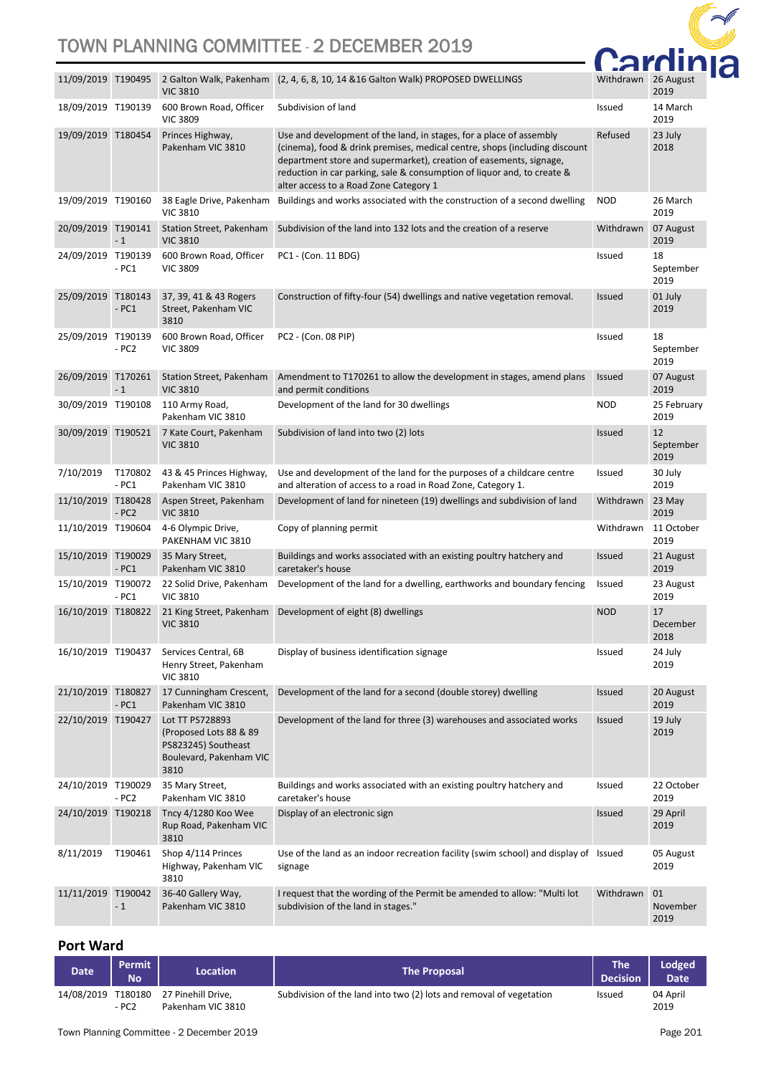

|                    |                   | <b>VIC 3810</b>                                                                                     | 11/09/2019 T190495 2 Galton Walk, Pakenham (2, 4, 6, 8, 10, 14 & 16 Galton Walk) PROPOSED DWELLINGS                                                                                                                                                                                                                                          | Withdrawn     | 26 August<br>2019       |
|--------------------|-------------------|-----------------------------------------------------------------------------------------------------|----------------------------------------------------------------------------------------------------------------------------------------------------------------------------------------------------------------------------------------------------------------------------------------------------------------------------------------------|---------------|-------------------------|
| 18/09/2019 T190139 |                   | 600 Brown Road, Officer<br><b>VIC 3809</b>                                                          | Subdivision of land                                                                                                                                                                                                                                                                                                                          | Issued        | 14 March<br>2019        |
| 19/09/2019 T180454 |                   | Princes Highway,<br>Pakenham VIC 3810                                                               | Use and development of the land, in stages, for a place of assembly<br>(cinema), food & drink premises, medical centre, shops (including discount<br>department store and supermarket), creation of easements, signage,<br>reduction in car parking, sale & consumption of liquor and, to create &<br>alter access to a Road Zone Category 1 | Refused       | 23 July<br>2018         |
| 19/09/2019 T190160 |                   | 38 Eagle Drive, Pakenham<br><b>VIC 3810</b>                                                         | Buildings and works associated with the construction of a second dwelling                                                                                                                                                                                                                                                                    | <b>NOD</b>    | 26 March<br>2019        |
| 20/09/2019 T190141 | $-1$              | Station Street, Pakenham<br><b>VIC 3810</b>                                                         | Subdivision of the land into 132 lots and the creation of a reserve                                                                                                                                                                                                                                                                          | Withdrawn     | 07 August<br>2019       |
| 24/09/2019 T190139 | $-PC1$            | 600 Brown Road, Officer<br><b>VIC 3809</b>                                                          | PC1 - (Con. 11 BDG)                                                                                                                                                                                                                                                                                                                          | Issued        | 18<br>September<br>2019 |
| 25/09/2019 T180143 | $-PC1$            | 37, 39, 41 & 43 Rogers<br>Street, Pakenham VIC<br>3810                                              | Construction of fifty-four (54) dwellings and native vegetation removal.                                                                                                                                                                                                                                                                     | <b>Issued</b> | 01 July<br>2019         |
| 25/09/2019 T190139 | $- PC2$           | 600 Brown Road, Officer<br><b>VIC 3809</b>                                                          | PC2 - (Con. 08 PIP)                                                                                                                                                                                                                                                                                                                          | Issued        | 18<br>September<br>2019 |
| 26/09/2019 T170261 | $-1$              | Station Street, Pakenham<br><b>VIC 3810</b>                                                         | Amendment to T170261 to allow the development in stages, amend plans<br>and permit conditions                                                                                                                                                                                                                                                | <b>Issued</b> | 07 August<br>2019       |
| 30/09/2019 T190108 |                   | 110 Army Road,<br>Pakenham VIC 3810                                                                 | Development of the land for 30 dwellings                                                                                                                                                                                                                                                                                                     | <b>NOD</b>    | 25 February<br>2019     |
| 30/09/2019 T190521 |                   | 7 Kate Court, Pakenham<br><b>VIC 3810</b>                                                           | Subdivision of land into two (2) lots                                                                                                                                                                                                                                                                                                        | <b>Issued</b> | 12<br>September<br>2019 |
| 7/10/2019          | T170802<br>$-PC1$ | 43 & 45 Princes Highway,<br>Pakenham VIC 3810                                                       | Use and development of the land for the purposes of a childcare centre<br>and alteration of access to a road in Road Zone, Category 1.                                                                                                                                                                                                       | Issued        | 30 July<br>2019         |
| 11/10/2019 T180428 | $- PC2$           | Aspen Street, Pakenham<br><b>VIC 3810</b>                                                           | Development of land for nineteen (19) dwellings and subdivision of land                                                                                                                                                                                                                                                                      | Withdrawn     | 23 May<br>2019          |
| 11/10/2019 T190604 |                   | 4-6 Olympic Drive,<br>PAKENHAM VIC 3810                                                             | Copy of planning permit                                                                                                                                                                                                                                                                                                                      | Withdrawn     | 11 October<br>2019      |
| 15/10/2019 T190029 | $-PC1$            | 35 Mary Street,<br>Pakenham VIC 3810                                                                | Buildings and works associated with an existing poultry hatchery and<br>caretaker's house                                                                                                                                                                                                                                                    | <b>Issued</b> | 21 August<br>2019       |
| 15/10/2019 T190072 | $-PC1$            | 22 Solid Drive, Pakenham<br><b>VIC 3810</b>                                                         | Development of the land for a dwelling, earthworks and boundary fencing                                                                                                                                                                                                                                                                      | Issued        | 23 August<br>2019       |
| 16/10/2019 T180822 |                   | 21 King Street, Pakenham<br><b>VIC 3810</b>                                                         | Development of eight (8) dwellings                                                                                                                                                                                                                                                                                                           | <b>NOD</b>    | 17<br>December<br>2018  |
| 16/10/2019 T190437 |                   | Services Central, 6B<br>Henry Street, Pakenham<br><b>VIC 3810</b>                                   | Display of business identification signage                                                                                                                                                                                                                                                                                                   | Issued        | 24 July<br>2019         |
| 21/10/2019 T180827 | $-PC1$            | 17 Cunningham Crescent,<br>Pakenham VIC 3810                                                        | Development of the land for a second (double storey) dwelling                                                                                                                                                                                                                                                                                | <b>Issued</b> | 20 August<br>2019       |
| 22/10/2019 T190427 |                   | Lot TT PS728893<br>(Proposed Lots 88 & 89<br>PS823245) Southeast<br>Boulevard, Pakenham VIC<br>3810 | Development of the land for three (3) warehouses and associated works                                                                                                                                                                                                                                                                        | Issued        | 19 July<br>2019         |
| 24/10/2019 T190029 | $- PC2$           | 35 Mary Street,<br>Pakenham VIC 3810                                                                | Buildings and works associated with an existing poultry hatchery and<br>caretaker's house                                                                                                                                                                                                                                                    | Issued        | 22 October<br>2019      |
| 24/10/2019 T190218 |                   | Tncy 4/1280 Koo Wee<br>Rup Road, Pakenham VIC<br>3810                                               | Display of an electronic sign                                                                                                                                                                                                                                                                                                                | <b>Issued</b> | 29 April<br>2019        |
| 8/11/2019          | T190461           | Shop 4/114 Princes<br>Highway, Pakenham VIC<br>3810                                                 | Use of the land as an indoor recreation facility (swim school) and display of Issued<br>signage                                                                                                                                                                                                                                              |               | 05 August<br>2019       |
| 11/11/2019         | T190042<br>$-1$   | 36-40 Gallery Way,<br>Pakenham VIC 3810                                                             | I request that the wording of the Permit be amended to allow: "Multi lot<br>subdivision of the land in stages."                                                                                                                                                                                                                              | Withdrawn     | 01<br>November<br>2019  |

#### **Port Ward**

| <b>Date</b>        | Permit<br><b>No</b> | <b>Location</b>                         | <b>The Proposal</b>                                                 | The<br><b>Decision</b> | Lodged<br>Date <sup>1</sup> |
|--------------------|---------------------|-----------------------------------------|---------------------------------------------------------------------|------------------------|-----------------------------|
| 14/08/2019 T180180 | - PC2               | 27 Pinehill Drive.<br>Pakenham VIC 3810 | Subdivision of the land into two (2) lots and removal of vegetation | <b>Issued</b>          | 04 April<br>2019            |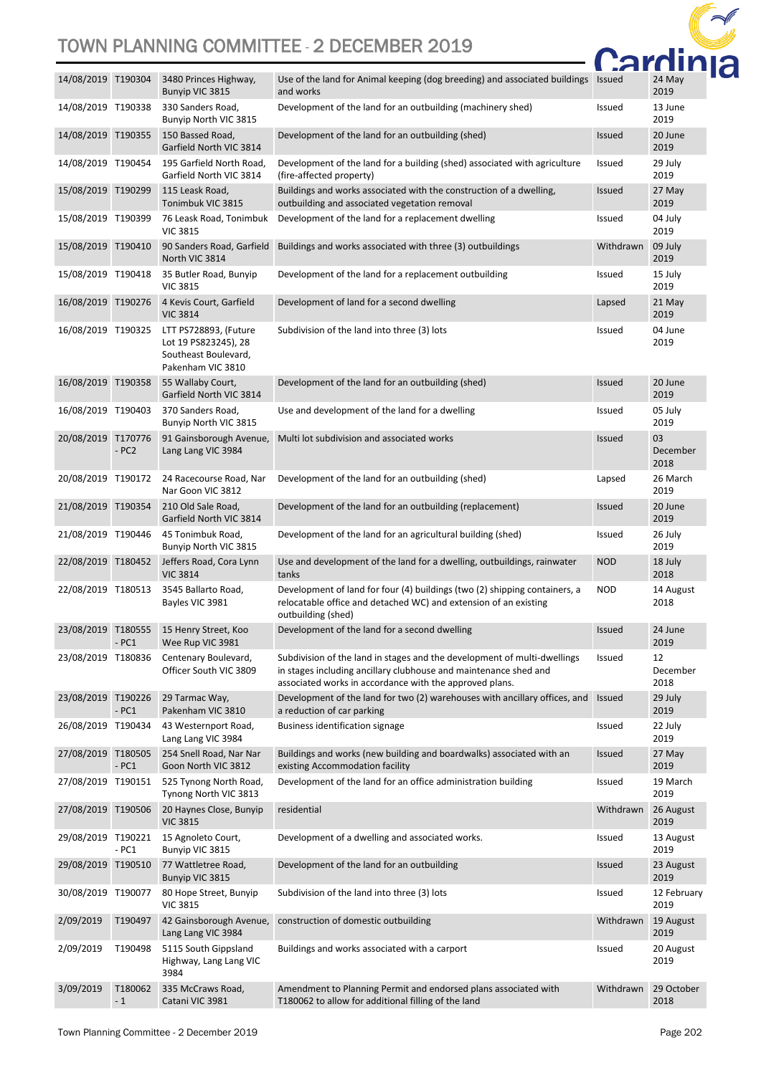

| 14/08/2019 T190304 |                 | 3480 Princes Highway,<br>Bunyip VIC 3815                                                   | Use of the land for Animal keeping (dog breeding) and associated buildings Issued<br>and works                                                                                                          |               | 24 May<br>2019         |
|--------------------|-----------------|--------------------------------------------------------------------------------------------|---------------------------------------------------------------------------------------------------------------------------------------------------------------------------------------------------------|---------------|------------------------|
| 14/08/2019 T190338 |                 | 330 Sanders Road,<br>Bunyip North VIC 3815                                                 | Development of the land for an outbuilding (machinery shed)                                                                                                                                             | Issued        | 13 June<br>2019        |
| 14/08/2019 T190355 |                 | 150 Bassed Road,<br>Garfield North VIC 3814                                                | Development of the land for an outbuilding (shed)                                                                                                                                                       | <b>Issued</b> | 20 June<br>2019        |
| 14/08/2019 T190454 |                 | 195 Garfield North Road,<br>Garfield North VIC 3814                                        | Development of the land for a building (shed) associated with agriculture<br>(fire-affected property)                                                                                                   | Issued        | 29 July<br>2019        |
| 15/08/2019 T190299 |                 | 115 Leask Road,<br>Tonimbuk VIC 3815                                                       | Buildings and works associated with the construction of a dwelling,<br>outbuilding and associated vegetation removal                                                                                    | <b>Issued</b> | 27 May<br>2019         |
| 15/08/2019 T190399 |                 | 76 Leask Road, Tonimbuk<br><b>VIC 3815</b>                                                 | Development of the land for a replacement dwelling                                                                                                                                                      | Issued        | 04 July<br>2019        |
| 15/08/2019 T190410 |                 | 90 Sanders Road, Garfield<br>North VIC 3814                                                | Buildings and works associated with three (3) outbuildings                                                                                                                                              | Withdrawn     | 09 July<br>2019        |
| 15/08/2019 T190418 |                 | 35 Butler Road, Bunyip<br><b>VIC 3815</b>                                                  | Development of the land for a replacement outbuilding                                                                                                                                                   | Issued        | 15 July<br>2019        |
| 16/08/2019 T190276 |                 | 4 Kevis Court, Garfield<br><b>VIC 3814</b>                                                 | Development of land for a second dwelling                                                                                                                                                               | Lapsed        | 21 May<br>2019         |
| 16/08/2019 T190325 |                 | LTT PS728893, (Future<br>Lot 19 PS823245), 28<br>Southeast Boulevard,<br>Pakenham VIC 3810 | Subdivision of the land into three (3) lots                                                                                                                                                             | Issued        | 04 June<br>2019        |
| 16/08/2019 T190358 |                 | 55 Wallaby Court,<br>Garfield North VIC 3814                                               | Development of the land for an outbuilding (shed)                                                                                                                                                       | <b>Issued</b> | 20 June<br>2019        |
| 16/08/2019 T190403 |                 | 370 Sanders Road,<br>Bunyip North VIC 3815                                                 | Use and development of the land for a dwelling                                                                                                                                                          | Issued        | 05 July<br>2019        |
| 20/08/2019 T170776 | $- PC2$         | 91 Gainsborough Avenue,<br>Lang Lang VIC 3984                                              | Multi lot subdivision and associated works                                                                                                                                                              | <b>Issued</b> | 03<br>December<br>2018 |
| 20/08/2019 T190172 |                 | 24 Racecourse Road, Nar<br>Nar Goon VIC 3812                                               | Development of the land for an outbuilding (shed)                                                                                                                                                       | Lapsed        | 26 March<br>2019       |
| 21/08/2019 T190354 |                 | 210 Old Sale Road,<br>Garfield North VIC 3814                                              | Development of the land for an outbuilding (replacement)                                                                                                                                                | <b>Issued</b> | 20 June<br>2019        |
| 21/08/2019 T190446 |                 | 45 Tonimbuk Road,<br>Bunyip North VIC 3815                                                 | Development of the land for an agricultural building (shed)                                                                                                                                             | <b>Issued</b> | 26 July<br>2019        |
| 22/08/2019 T180452 |                 | Jeffers Road, Cora Lynn<br><b>VIC 3814</b>                                                 | Use and development of the land for a dwelling, outbuildings, rainwater<br>tanks                                                                                                                        | <b>NOD</b>    | 18 July<br>2018        |
| 22/08/2019 T180513 |                 | 3545 Ballarto Road,<br>Bayles VIC 3981                                                     | Development of land for four (4) buildings (two (2) shipping containers, a<br>relocatable office and detached WC) and extension of an existing<br>outbuilding (shed)                                    | <b>NOD</b>    | 14 August<br>2018      |
| 23/08/2019 T180555 | - PC1           | 15 Henry Street, Koo<br>Wee Rup VIC 3981                                                   | Development of the land for a second dwelling                                                                                                                                                           | <b>Issued</b> | 24 June<br>2019        |
| 23/08/2019 T180836 |                 | Centenary Boulevard,<br>Officer South VIC 3809                                             | Subdivision of the land in stages and the development of multi-dwellings<br>in stages including ancillary clubhouse and maintenance shed and<br>associated works in accordance with the approved plans. | <b>Issued</b> | 12<br>December<br>2018 |
| 23/08/2019 T190226 | $-PC1$          | 29 Tarmac Way,<br>Pakenham VIC 3810                                                        | Development of the land for two (2) warehouses with ancillary offices, and<br>a reduction of car parking                                                                                                | Issued        | 29 July<br>2019        |
| 26/08/2019 T190434 |                 | 43 Westernport Road,<br>Lang Lang VIC 3984                                                 | <b>Business identification signage</b>                                                                                                                                                                  | Issued        | 22 July<br>2019        |
| 27/08/2019 T180505 | $-PC1$          | 254 Snell Road, Nar Nar<br>Goon North VIC 3812                                             | Buildings and works (new building and boardwalks) associated with an<br>existing Accommodation facility                                                                                                 | <b>Issued</b> | 27 May<br>2019         |
| 27/08/2019 T190151 |                 | 525 Tynong North Road,<br>Tynong North VIC 3813                                            | Development of the land for an office administration building                                                                                                                                           | Issued        | 19 March<br>2019       |
| 27/08/2019         | T190506         | 20 Haynes Close, Bunyip<br><b>VIC 3815</b>                                                 | residential                                                                                                                                                                                             | Withdrawn     | 26 August<br>2019      |
| 29/08/2019 T190221 | $-PC1$          | 15 Agnoleto Court,<br>Bunyip VIC 3815                                                      | Development of a dwelling and associated works.                                                                                                                                                         | Issued        | 13 August<br>2019      |
| 29/08/2019 T190510 |                 | 77 Wattletree Road,<br>Bunyip VIC 3815                                                     | Development of the land for an outbuilding                                                                                                                                                              | <b>Issued</b> | 23 August<br>2019      |
| 30/08/2019 T190077 |                 | 80 Hope Street, Bunyip<br><b>VIC 3815</b>                                                  | Subdivision of the land into three (3) lots                                                                                                                                                             | Issued        | 12 February<br>2019    |
| 2/09/2019          | T190497         | 42 Gainsborough Avenue,<br>Lang Lang VIC 3984                                              | construction of domestic outbuilding                                                                                                                                                                    | Withdrawn     | 19 August<br>2019      |
| 2/09/2019          | T190498         | 5115 South Gippsland<br>Highway, Lang Lang VIC<br>3984                                     | Buildings and works associated with a carport                                                                                                                                                           | Issued        | 20 August<br>2019      |
| 3/09/2019          | T180062<br>$-1$ | 335 McCraws Road,<br>Catani VIC 3981                                                       | Amendment to Planning Permit and endorsed plans associated with<br>T180062 to allow for additional filling of the land                                                                                  | Withdrawn     | 29 October<br>2018     |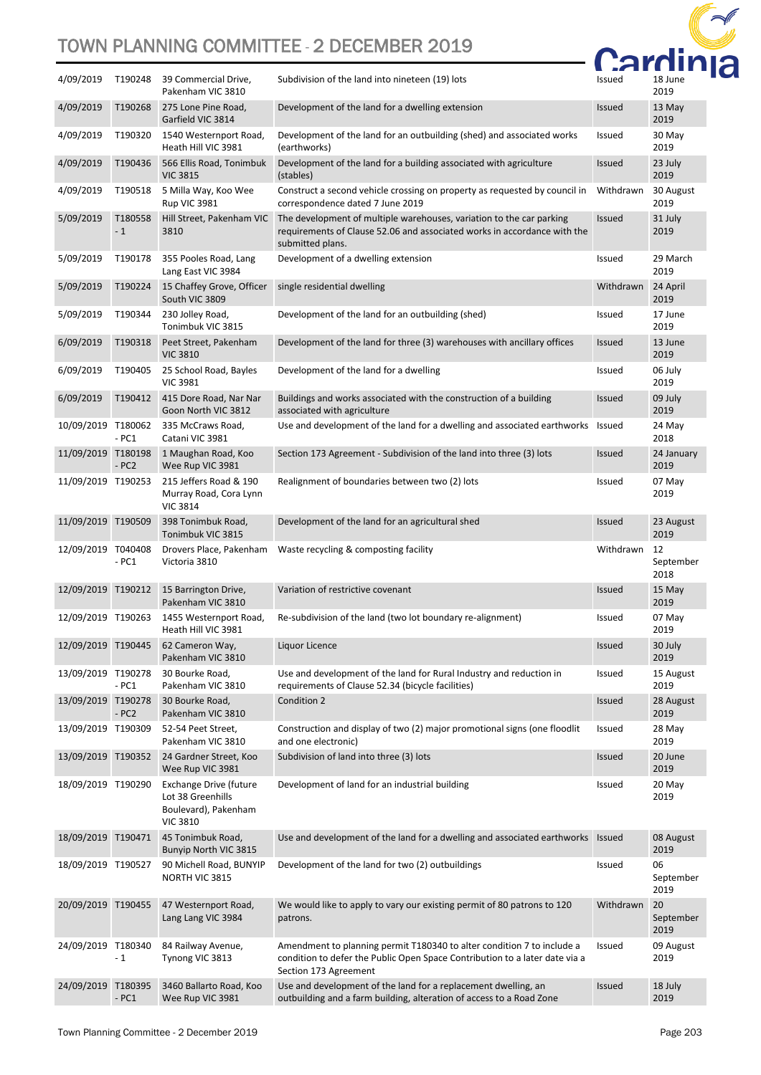

| 4/09/2019          | T190248         | 39 Commercial Drive,<br>Pakenham VIC 3810                                                     | Subdivision of the land into nineteen (19) lots                                                                                                                                                                                                  | Issued        | 18 June<br>2019         |
|--------------------|-----------------|-----------------------------------------------------------------------------------------------|--------------------------------------------------------------------------------------------------------------------------------------------------------------------------------------------------------------------------------------------------|---------------|-------------------------|
| 4/09/2019          | T190268         | 275 Lone Pine Road,<br>Garfield VIC 3814                                                      | Development of the land for a dwelling extension                                                                                                                                                                                                 | <b>Issued</b> | 13 May<br>2019          |
| 4/09/2019          | T190320         | 1540 Westernport Road,<br>Heath Hill VIC 3981                                                 | Development of the land for an outbuilding (shed) and associated works<br>(earthworks)                                                                                                                                                           | Issued        | 30 May<br>2019          |
| 4/09/2019          | T190436         | 566 Ellis Road, Tonimbuk<br><b>VIC 3815</b>                                                   | Development of the land for a building associated with agriculture<br>(stables)                                                                                                                                                                  | <b>Issued</b> | 23 July<br>2019         |
| 4/09/2019          | T190518         | 5 Milla Way, Koo Wee<br><b>Rup VIC 3981</b>                                                   | Construct a second vehicle crossing on property as requested by council in<br>correspondence dated 7 June 2019                                                                                                                                   | Withdrawn     | 30 August<br>2019       |
| 5/09/2019          | T180558<br>$-1$ | Hill Street, Pakenham VIC<br>3810                                                             | The development of multiple warehouses, variation to the car parking<br>requirements of Clause 52.06 and associated works in accordance with the<br>submitted plans.                                                                             | <b>Issued</b> | 31 July<br>2019         |
| 5/09/2019          | T190178         | 355 Pooles Road, Lang<br>Lang East VIC 3984                                                   | Development of a dwelling extension                                                                                                                                                                                                              | Issued        | 29 March<br>2019        |
| 5/09/2019          | T190224         | 15 Chaffey Grove, Officer<br>South VIC 3809                                                   | single residential dwelling                                                                                                                                                                                                                      | Withdrawn     | 24 April<br>2019        |
| 5/09/2019          | T190344         | 230 Jolley Road,<br>Tonimbuk VIC 3815                                                         | Development of the land for an outbuilding (shed)                                                                                                                                                                                                | <b>Issued</b> | 17 June<br>2019         |
| 6/09/2019          | T190318         | Peet Street, Pakenham<br><b>VIC 3810</b>                                                      | Development of the land for three (3) warehouses with ancillary offices                                                                                                                                                                          | <b>Issued</b> | 13 June<br>2019         |
| 6/09/2019          | T190405         | 25 School Road, Bayles<br><b>VIC 3981</b>                                                     | Development of the land for a dwelling                                                                                                                                                                                                           | <b>Issued</b> | 06 July<br>2019         |
| 6/09/2019          | T190412         | 415 Dore Road, Nar Nar<br>Goon North VIC 3812                                                 | Buildings and works associated with the construction of a building<br>associated with agriculture                                                                                                                                                | <b>Issued</b> | 09 July<br>2019         |
| 10/09/2019 T180062 | $-PC1$          | 335 McCraws Road,<br>Catani VIC 3981                                                          | Use and development of the land for a dwelling and associated earthworks Issued                                                                                                                                                                  |               | 24 May<br>2018          |
| 11/09/2019 T180198 | $- PC2$         | 1 Maughan Road, Koo<br>Wee Rup VIC 3981                                                       | Section 173 Agreement - Subdivision of the land into three (3) lots                                                                                                                                                                              | <b>Issued</b> | 24 January<br>2019      |
| 11/09/2019 T190253 |                 | 215 Jeffers Road & 190<br>Murray Road, Cora Lynn<br><b>VIC 3814</b>                           | Realignment of boundaries between two (2) lots                                                                                                                                                                                                   | <b>Issued</b> | 07 May<br>2019          |
| 11/09/2019 T190509 |                 | 398 Tonimbuk Road,<br>Tonimbuk VIC 3815                                                       | Development of the land for an agricultural shed                                                                                                                                                                                                 | <b>Issued</b> | 23 August<br>2019       |
|                    |                 |                                                                                               |                                                                                                                                                                                                                                                  |               |                         |
| 12/09/2019 T040408 | $-PC1$          | Drovers Place, Pakenham<br>Victoria 3810                                                      | Waste recycling & composting facility                                                                                                                                                                                                            | Withdrawn     | 12<br>September<br>2018 |
| 12/09/2019 T190212 |                 | 15 Barrington Drive,<br>Pakenham VIC 3810                                                     | Variation of restrictive covenant                                                                                                                                                                                                                | <b>Issued</b> | 15 May<br>2019          |
| 12/09/2019 T190263 |                 | 1455 Westernport Road,<br>Heath Hill VIC 3981                                                 | Re-subdivision of the land (two lot boundary re-alignment)                                                                                                                                                                                       | Issued        | 07 May<br>2019          |
|                    |                 | 12/09/2019 T190445 62 Cameron Way,<br>Pakenham VIC 3810                                       | Liquor Licence                                                                                                                                                                                                                                   | Issued        | 30 July<br>2019         |
| 13/09/2019 T190278 | - PC1           | 30 Bourke Road,<br>Pakenham VIC 3810                                                          | Use and development of the land for Rural Industry and reduction in<br>requirements of Clause 52.34 (bicycle facilities)                                                                                                                         | <b>Issued</b> | 15 August<br>2019       |
| 13/09/2019 T190278 | $-PC2$          | 30 Bourke Road,<br>Pakenham VIC 3810                                                          | Condition 2                                                                                                                                                                                                                                      | <b>Issued</b> | 28 August<br>2019       |
| 13/09/2019 T190309 |                 | 52-54 Peet Street,<br>Pakenham VIC 3810                                                       | Construction and display of two (2) major promotional signs (one floodlit<br>and one electronic)                                                                                                                                                 | Issued        | 28 May<br>2019          |
| 13/09/2019 T190352 |                 | 24 Gardner Street, Koo<br>Wee Rup VIC 3981                                                    | Subdivision of land into three (3) lots                                                                                                                                                                                                          | <b>Issued</b> | 20 June<br>2019         |
| 18/09/2019 T190290 |                 | <b>Exchange Drive (future</b><br>Lot 38 Greenhills<br>Boulevard), Pakenham<br><b>VIC 3810</b> | Development of land for an industrial building                                                                                                                                                                                                   | <b>Issued</b> | 20 May<br>2019          |
| 18/09/2019 T190471 |                 | 45 Tonimbuk Road,<br>Bunyip North VIC 3815                                                    | Use and development of the land for a dwelling and associated earthworks Issued                                                                                                                                                                  |               | 08 August<br>2019       |
| 18/09/2019 T190527 |                 | 90 Michell Road, BUNYIP<br>NORTH VIC 3815                                                     | Development of the land for two (2) outbuildings                                                                                                                                                                                                 | Issued        | 06<br>September<br>2019 |
| 20/09/2019 T190455 |                 | 47 Westernport Road,<br>Lang Lang VIC 3984                                                    | We would like to apply to vary our existing permit of 80 patrons to 120<br>patrons.                                                                                                                                                              | Withdrawn     | 20<br>September<br>2019 |
| 24/09/2019 T180340 | $-1$            | 84 Railway Avenue,<br>Tynong VIC 3813                                                         | Amendment to planning permit T180340 to alter condition 7 to include a<br>condition to defer the Public Open Space Contribution to a later date via a<br>Section 173 Agreement<br>Use and development of the land for a replacement dwelling, an | Issued        | 09 August<br>2019       |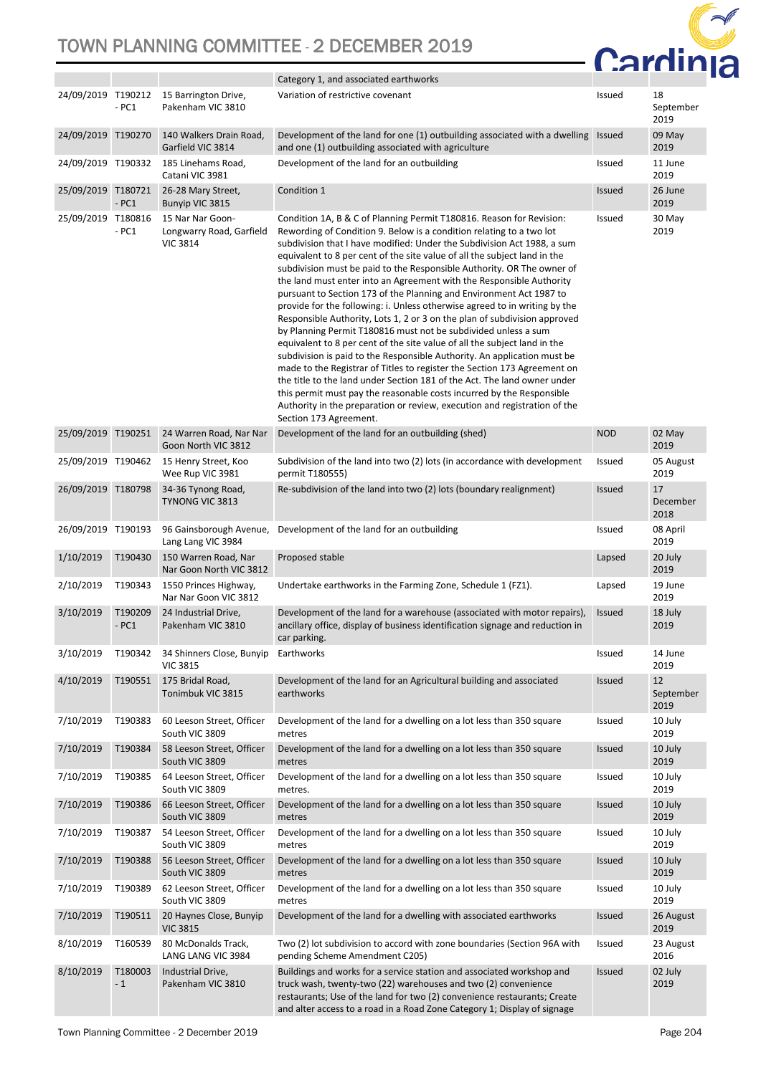

|                    |                   |                                                                 | Category 1, and associated earthworks                                                                                                                                                                                                                                                                                                                                                                                                                                                                                                                                                                                                                                                                                                                                                                                                                                                                                                                                                                                                                                                                                                                                                                                                                       |               |                         |
|--------------------|-------------------|-----------------------------------------------------------------|-------------------------------------------------------------------------------------------------------------------------------------------------------------------------------------------------------------------------------------------------------------------------------------------------------------------------------------------------------------------------------------------------------------------------------------------------------------------------------------------------------------------------------------------------------------------------------------------------------------------------------------------------------------------------------------------------------------------------------------------------------------------------------------------------------------------------------------------------------------------------------------------------------------------------------------------------------------------------------------------------------------------------------------------------------------------------------------------------------------------------------------------------------------------------------------------------------------------------------------------------------------|---------------|-------------------------|
| 24/09/2019 T190212 | $-PC1$            | 15 Barrington Drive,<br>Pakenham VIC 3810                       | Variation of restrictive covenant                                                                                                                                                                                                                                                                                                                                                                                                                                                                                                                                                                                                                                                                                                                                                                                                                                                                                                                                                                                                                                                                                                                                                                                                                           | Issued        | 18<br>September<br>2019 |
| 24/09/2019 T190270 |                   | 140 Walkers Drain Road,<br>Garfield VIC 3814                    | Development of the land for one (1) outbuilding associated with a dwelling<br>and one (1) outbuilding associated with agriculture                                                                                                                                                                                                                                                                                                                                                                                                                                                                                                                                                                                                                                                                                                                                                                                                                                                                                                                                                                                                                                                                                                                           | <b>Issued</b> | 09 May<br>2019          |
| 24/09/2019 T190332 |                   | 185 Linehams Road,<br>Catani VIC 3981                           | Development of the land for an outbuilding                                                                                                                                                                                                                                                                                                                                                                                                                                                                                                                                                                                                                                                                                                                                                                                                                                                                                                                                                                                                                                                                                                                                                                                                                  | Issued        | 11 June<br>2019         |
| 25/09/2019 T180721 | $-PC1$            | 26-28 Mary Street,<br>Bunyip VIC 3815                           | Condition 1                                                                                                                                                                                                                                                                                                                                                                                                                                                                                                                                                                                                                                                                                                                                                                                                                                                                                                                                                                                                                                                                                                                                                                                                                                                 | <b>Issued</b> | 26 June<br>2019         |
| 25/09/2019 T180816 | - PC1             | 15 Nar Nar Goon-<br>Longwarry Road, Garfield<br><b>VIC 3814</b> | Condition 1A, B & C of Planning Permit T180816. Reason for Revision:<br>Rewording of Condition 9. Below is a condition relating to a two lot<br>subdivision that I have modified: Under the Subdivision Act 1988, a sum<br>equivalent to 8 per cent of the site value of all the subject land in the<br>subdivision must be paid to the Responsible Authority. OR The owner of<br>the land must enter into an Agreement with the Responsible Authority<br>pursuant to Section 173 of the Planning and Environment Act 1987 to<br>provide for the following: i. Unless otherwise agreed to in writing by the<br>Responsible Authority, Lots 1, 2 or 3 on the plan of subdivision approved<br>by Planning Permit T180816 must not be subdivided unless a sum<br>equivalent to 8 per cent of the site value of all the subject land in the<br>subdivision is paid to the Responsible Authority. An application must be<br>made to the Registrar of Titles to register the Section 173 Agreement on<br>the title to the land under Section 181 of the Act. The land owner under<br>this permit must pay the reasonable costs incurred by the Responsible<br>Authority in the preparation or review, execution and registration of the<br>Section 173 Agreement. | Issued        | 30 May<br>2019          |
| 25/09/2019 T190251 |                   | 24 Warren Road, Nar Nar<br>Goon North VIC 3812                  | Development of the land for an outbuilding (shed)                                                                                                                                                                                                                                                                                                                                                                                                                                                                                                                                                                                                                                                                                                                                                                                                                                                                                                                                                                                                                                                                                                                                                                                                           | <b>NOD</b>    | 02 May<br>2019          |
| 25/09/2019 T190462 |                   | 15 Henry Street, Koo<br>Wee Rup VIC 3981                        | Subdivision of the land into two (2) lots (in accordance with development<br>permit T180555)                                                                                                                                                                                                                                                                                                                                                                                                                                                                                                                                                                                                                                                                                                                                                                                                                                                                                                                                                                                                                                                                                                                                                                | Issued        | 05 August<br>2019       |
| 26/09/2019 T180798 |                   | 34-36 Tynong Road,<br>TYNONG VIC 3813                           | Re-subdivision of the land into two (2) lots (boundary realignment)                                                                                                                                                                                                                                                                                                                                                                                                                                                                                                                                                                                                                                                                                                                                                                                                                                                                                                                                                                                                                                                                                                                                                                                         | Issued        | 17<br>December<br>2018  |
| 26/09/2019 T190193 |                   | 96 Gainsborough Avenue,<br>Lang Lang VIC 3984                   | Development of the land for an outbuilding                                                                                                                                                                                                                                                                                                                                                                                                                                                                                                                                                                                                                                                                                                                                                                                                                                                                                                                                                                                                                                                                                                                                                                                                                  | Issued        | 08 April<br>2019        |
| 1/10/2019          | T190430           | 150 Warren Road, Nar<br>Nar Goon North VIC 3812                 | Proposed stable                                                                                                                                                                                                                                                                                                                                                                                                                                                                                                                                                                                                                                                                                                                                                                                                                                                                                                                                                                                                                                                                                                                                                                                                                                             | Lapsed        | 20 July<br>2019         |
| 2/10/2019          | T190343           | 1550 Princes Highway,<br>Nar Nar Goon VIC 3812                  | Undertake earthworks in the Farming Zone, Schedule 1 (FZ1).                                                                                                                                                                                                                                                                                                                                                                                                                                                                                                                                                                                                                                                                                                                                                                                                                                                                                                                                                                                                                                                                                                                                                                                                 | Lapsed        | 19 June<br>2019         |
| 3/10/2019          | T190209<br>$-PC1$ | 24 Industrial Drive,<br>Pakenham VIC 3810                       | Development of the land for a warehouse (associated with motor repairs),<br>ancillary office, display of business identification signage and reduction in<br>car parking.                                                                                                                                                                                                                                                                                                                                                                                                                                                                                                                                                                                                                                                                                                                                                                                                                                                                                                                                                                                                                                                                                   | Issued        | 18 July<br>2019         |
| 3/10/2019          |                   | T190342 34 Shinners Close, Bunyip<br><b>VIC 3815</b>            | Earthworks                                                                                                                                                                                                                                                                                                                                                                                                                                                                                                                                                                                                                                                                                                                                                                                                                                                                                                                                                                                                                                                                                                                                                                                                                                                  | Issued        | 14 June<br>2019         |
| 4/10/2019          | T190551           | 175 Bridal Road,<br>Tonimbuk VIC 3815                           | Development of the land for an Agricultural building and associated<br>earthworks                                                                                                                                                                                                                                                                                                                                                                                                                                                                                                                                                                                                                                                                                                                                                                                                                                                                                                                                                                                                                                                                                                                                                                           | Issued        | 12<br>September<br>2019 |
| 7/10/2019          | T190383           | 60 Leeson Street, Officer<br>South VIC 3809                     | Development of the land for a dwelling on a lot less than 350 square<br>metres                                                                                                                                                                                                                                                                                                                                                                                                                                                                                                                                                                                                                                                                                                                                                                                                                                                                                                                                                                                                                                                                                                                                                                              | Issued        | 10 July<br>2019         |
| 7/10/2019          | T190384           | 58 Leeson Street, Officer<br>South VIC 3809                     | Development of the land for a dwelling on a lot less than 350 square<br>metres                                                                                                                                                                                                                                                                                                                                                                                                                                                                                                                                                                                                                                                                                                                                                                                                                                                                                                                                                                                                                                                                                                                                                                              | Issued        | 10 July<br>2019         |
| 7/10/2019          | T190385           | 64 Leeson Street, Officer<br>South VIC 3809                     | Development of the land for a dwelling on a lot less than 350 square<br>metres.                                                                                                                                                                                                                                                                                                                                                                                                                                                                                                                                                                                                                                                                                                                                                                                                                                                                                                                                                                                                                                                                                                                                                                             | Issued        | 10 July<br>2019         |
| 7/10/2019          | T190386           | 66 Leeson Street, Officer<br>South VIC 3809                     | Development of the land for a dwelling on a lot less than 350 square<br>metres                                                                                                                                                                                                                                                                                                                                                                                                                                                                                                                                                                                                                                                                                                                                                                                                                                                                                                                                                                                                                                                                                                                                                                              | Issued        | 10 July<br>2019         |
| 7/10/2019          | T190387           | 54 Leeson Street, Officer<br>South VIC 3809                     | Development of the land for a dwelling on a lot less than 350 square<br>metres                                                                                                                                                                                                                                                                                                                                                                                                                                                                                                                                                                                                                                                                                                                                                                                                                                                                                                                                                                                                                                                                                                                                                                              | Issued        | 10 July<br>2019         |
| 7/10/2019          | T190388           | 56 Leeson Street, Officer<br>South VIC 3809                     | Development of the land for a dwelling on a lot less than 350 square<br>metres                                                                                                                                                                                                                                                                                                                                                                                                                                                                                                                                                                                                                                                                                                                                                                                                                                                                                                                                                                                                                                                                                                                                                                              | <b>Issued</b> | 10 July<br>2019         |
| 7/10/2019          | T190389           | 62 Leeson Street, Officer<br>South VIC 3809                     | Development of the land for a dwelling on a lot less than 350 square<br>metres                                                                                                                                                                                                                                                                                                                                                                                                                                                                                                                                                                                                                                                                                                                                                                                                                                                                                                                                                                                                                                                                                                                                                                              | <b>Issued</b> | 10 July<br>2019         |
| 7/10/2019          | T190511           | 20 Haynes Close, Bunyip<br><b>VIC 3815</b>                      | Development of the land for a dwelling with associated earthworks                                                                                                                                                                                                                                                                                                                                                                                                                                                                                                                                                                                                                                                                                                                                                                                                                                                                                                                                                                                                                                                                                                                                                                                           | Issued        | 26 August<br>2019       |
| 8/10/2019          | T160539           | 80 McDonalds Track,<br>LANG LANG VIC 3984                       | Two (2) lot subdivision to accord with zone boundaries (Section 96A with<br>pending Scheme Amendment C205)                                                                                                                                                                                                                                                                                                                                                                                                                                                                                                                                                                                                                                                                                                                                                                                                                                                                                                                                                                                                                                                                                                                                                  | Issued        | 23 August<br>2016       |
| 8/10/2019          | T180003<br>$-1$   | Industrial Drive,<br>Pakenham VIC 3810                          | Buildings and works for a service station and associated workshop and<br>truck wash, twenty-two (22) warehouses and two (2) convenience<br>restaurants; Use of the land for two (2) convenience restaurants; Create<br>and alter access to a road in a Road Zone Category 1; Display of signage                                                                                                                                                                                                                                                                                                                                                                                                                                                                                                                                                                                                                                                                                                                                                                                                                                                                                                                                                             | <b>Issued</b> | 02 July<br>2019         |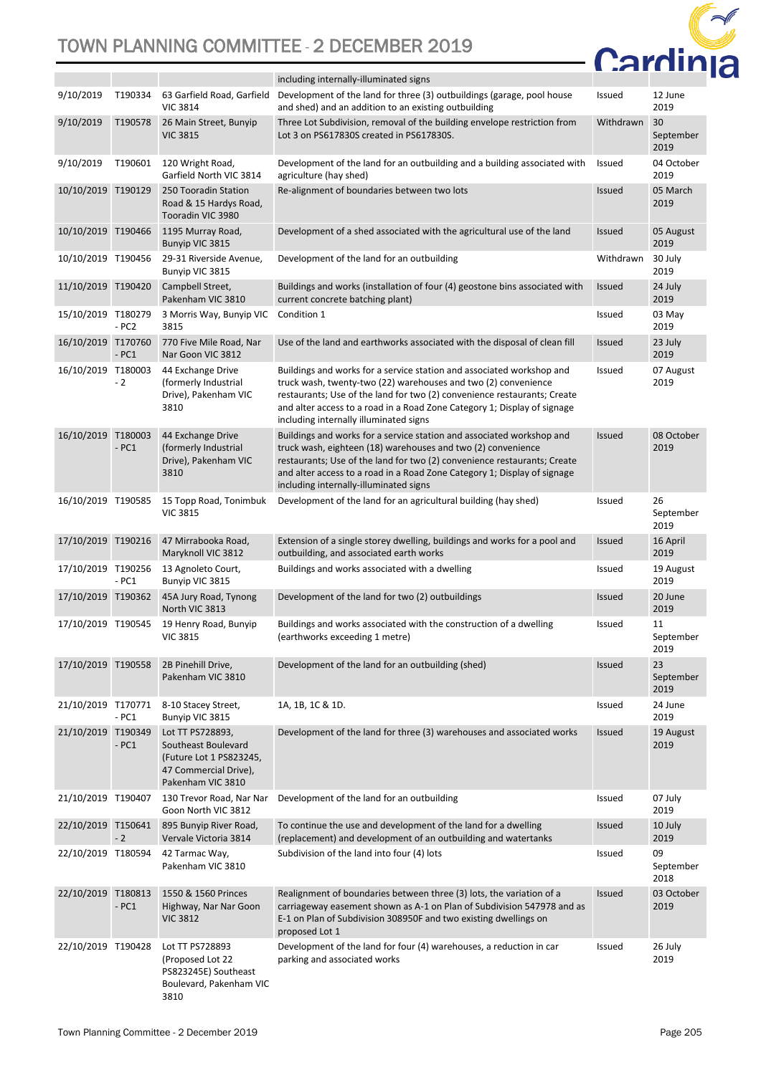

|                    |         |                                                                                                                  | including internally-illuminated signs                                                                                                                                                                                                                                                                                                    |               |                         |
|--------------------|---------|------------------------------------------------------------------------------------------------------------------|-------------------------------------------------------------------------------------------------------------------------------------------------------------------------------------------------------------------------------------------------------------------------------------------------------------------------------------------|---------------|-------------------------|
| 9/10/2019          | T190334 | 63 Garfield Road, Garfield<br><b>VIC 3814</b>                                                                    | Development of the land for three (3) outbuildings (garage, pool house<br>and shed) and an addition to an existing outbuilding                                                                                                                                                                                                            | Issued        | 12 June<br>2019         |
| 9/10/2019          | T190578 | 26 Main Street, Bunyip<br><b>VIC 3815</b>                                                                        | Three Lot Subdivision, removal of the building envelope restriction from<br>Lot 3 on PS617830S created in PS617830S.                                                                                                                                                                                                                      | Withdrawn     | 30<br>September<br>2019 |
| 9/10/2019          | T190601 | 120 Wright Road,<br>Garfield North VIC 3814                                                                      | Development of the land for an outbuilding and a building associated with<br>agriculture (hay shed)                                                                                                                                                                                                                                       | Issued        | 04 October<br>2019      |
| 10/10/2019 T190129 |         | 250 Tooradin Station<br>Road & 15 Hardys Road,<br>Tooradin VIC 3980                                              | Re-alignment of boundaries between two lots                                                                                                                                                                                                                                                                                               | <b>Issued</b> | 05 March<br>2019        |
| 10/10/2019         | T190466 | 1195 Murray Road,<br>Bunyip VIC 3815                                                                             | Development of a shed associated with the agricultural use of the land                                                                                                                                                                                                                                                                    | <b>Issued</b> | 05 August<br>2019       |
| 10/10/2019 T190456 |         | 29-31 Riverside Avenue,<br>Bunyip VIC 3815                                                                       | Development of the land for an outbuilding                                                                                                                                                                                                                                                                                                | Withdrawn     | 30 July<br>2019         |
| 11/10/2019 T190420 |         | Campbell Street,<br>Pakenham VIC 3810                                                                            | Buildings and works (installation of four (4) geostone bins associated with<br>current concrete batching plant)                                                                                                                                                                                                                           | <b>Issued</b> | 24 July<br>2019         |
| 15/10/2019 T180279 | $- PC2$ | 3 Morris Way, Bunyip VIC<br>3815                                                                                 | Condition 1                                                                                                                                                                                                                                                                                                                               | Issued        | 03 May<br>2019          |
| 16/10/2019 T170760 | $-PC1$  | 770 Five Mile Road, Nar<br>Nar Goon VIC 3812                                                                     | Use of the land and earthworks associated with the disposal of clean fill                                                                                                                                                                                                                                                                 | <b>Issued</b> | 23 July<br>2019         |
| 16/10/2019 T180003 | $-2$    | 44 Exchange Drive<br>(formerly Industrial<br>Drive), Pakenham VIC<br>3810                                        | Buildings and works for a service station and associated workshop and<br>truck wash, twenty-two (22) warehouses and two (2) convenience<br>restaurants; Use of the land for two (2) convenience restaurants; Create<br>and alter access to a road in a Road Zone Category 1; Display of signage<br>including internally illuminated signs | Issued        | 07 August<br>2019       |
| 16/10/2019 T180003 | $-PC1$  | 44 Exchange Drive<br>(formerly Industrial<br>Drive), Pakenham VIC<br>3810                                        | Buildings and works for a service station and associated workshop and<br>truck wash, eighteen (18) warehouses and two (2) convenience<br>restaurants; Use of the land for two (2) convenience restaurants; Create<br>and alter access to a road in a Road Zone Category 1; Display of signage<br>including internally-illuminated signs   | <b>Issued</b> | 08 October<br>2019      |
| 16/10/2019 T190585 |         | 15 Topp Road, Tonimbuk<br><b>VIC 3815</b>                                                                        | Development of the land for an agricultural building (hay shed)                                                                                                                                                                                                                                                                           | Issued        | 26<br>September<br>2019 |
| 17/10/2019 T190216 |         | 47 Mirrabooka Road,<br>Maryknoll VIC 3812                                                                        | Extension of a single storey dwelling, buildings and works for a pool and<br>outbuilding, and associated earth works                                                                                                                                                                                                                      | <b>Issued</b> | 16 April<br>2019        |
| 17/10/2019 T190256 | $-PC1$  | 13 Agnoleto Court,<br>Bunyip VIC 3815                                                                            | Buildings and works associated with a dwelling                                                                                                                                                                                                                                                                                            | Issued        | 19 August<br>2019       |
| 17/10/2019 T190362 |         | 45A Jury Road, Tynong<br>North VIC 3813                                                                          | Development of the land for two (2) outbuildings                                                                                                                                                                                                                                                                                          | <b>Issued</b> | 20 June<br>2019         |
| 17/10/2019 T190545 |         | 19 Henry Road, Bunyip<br><b>VIC 3815</b>                                                                         | Buildings and works associated with the construction of a dwelling<br>(earthworks exceeding 1 metre)                                                                                                                                                                                                                                      | Issued        | 11<br>September<br>2019 |
| 17/10/2019 T190558 |         | 2B Pinehill Drive,<br>Pakenham VIC 3810                                                                          | Development of the land for an outbuilding (shed)                                                                                                                                                                                                                                                                                         | <b>Issued</b> | 23<br>September<br>2019 |
| 21/10/2019 T170771 | - PC1   | 8-10 Stacey Street,<br>Bunyip VIC 3815                                                                           | 1A, 1B, 1C & 1D.                                                                                                                                                                                                                                                                                                                          | Issued        | 24 June<br>2019         |
| 21/10/2019 T190349 | $-PC1$  | Lot TT PS728893,<br>Southeast Boulevard<br>(Future Lot 1 PS823245,<br>47 Commercial Drive),<br>Pakenham VIC 3810 | Development of the land for three (3) warehouses and associated works                                                                                                                                                                                                                                                                     | <b>Issued</b> | 19 August<br>2019       |
| 21/10/2019 T190407 |         | 130 Trevor Road, Nar Nar<br>Goon North VIC 3812                                                                  | Development of the land for an outbuilding                                                                                                                                                                                                                                                                                                | Issued        | 07 July<br>2019         |
| 22/10/2019 T150641 | $-2$    | 895 Bunyip River Road,<br>Vervale Victoria 3814                                                                  | To continue the use and development of the land for a dwelling<br>(replacement) and development of an outbuilding and watertanks                                                                                                                                                                                                          | <b>Issued</b> | 10 July<br>2019         |
| 22/10/2019 T180594 |         | 42 Tarmac Way,<br>Pakenham VIC 3810                                                                              | Subdivision of the land into four (4) lots                                                                                                                                                                                                                                                                                                | Issued        | 09<br>September<br>2018 |
| 22/10/2019 T180813 | $-PC1$  | 1550 & 1560 Princes<br>Highway, Nar Nar Goon<br><b>VIC 3812</b>                                                  | Realignment of boundaries between three (3) lots, the variation of a<br>carriageway easement shown as A-1 on Plan of Subdivision 547978 and as<br>E-1 on Plan of Subdivision 308950F and two existing dwellings on<br>proposed Lot 1                                                                                                      | <b>Issued</b> | 03 October<br>2019      |
| 22/10/2019 T190428 |         | Lot TT PS728893<br>(Proposed Lot 22<br>PS823245E) Southeast<br>Boulevard, Pakenham VIC<br>3810                   | Development of the land for four (4) warehouses, a reduction in car<br>parking and associated works                                                                                                                                                                                                                                       | Issued        | 26 July<br>2019         |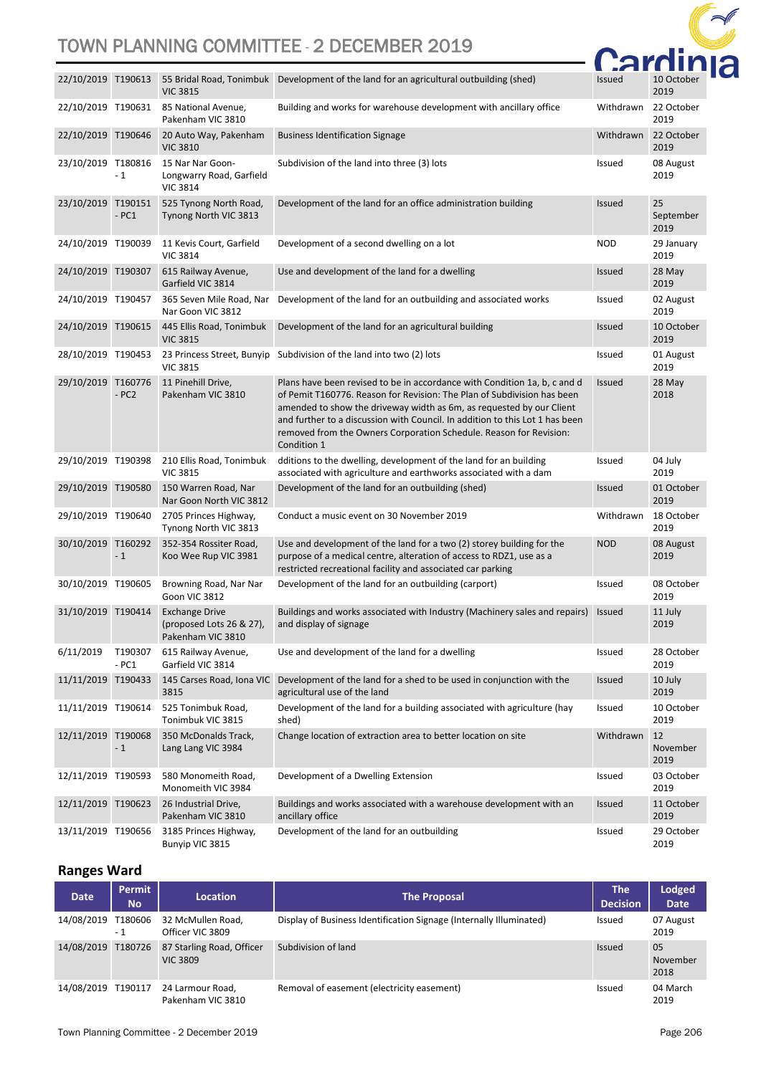

| 22/10/2019 T190613 |                   | <b>VIC 3815</b>                                                        | 55 Bridal Road, Tonimbuk   Development of the land for an agricultural outbuilding (shed)                                                                                                                                                                                                                                                                                                         | <b>Issued</b> | 10 October<br>2019      |
|--------------------|-------------------|------------------------------------------------------------------------|---------------------------------------------------------------------------------------------------------------------------------------------------------------------------------------------------------------------------------------------------------------------------------------------------------------------------------------------------------------------------------------------------|---------------|-------------------------|
| 22/10/2019 T190631 |                   | 85 National Avenue,<br>Pakenham VIC 3810                               | Building and works for warehouse development with ancillary office                                                                                                                                                                                                                                                                                                                                | Withdrawn     | 22 October<br>2019      |
| 22/10/2019 T190646 |                   | 20 Auto Way, Pakenham<br><b>VIC 3810</b>                               | <b>Business Identification Signage</b>                                                                                                                                                                                                                                                                                                                                                            | Withdrawn     | 22 October<br>2019      |
| 23/10/2019 T180816 | $-1$              | 15 Nar Nar Goon-<br>Longwarry Road, Garfield<br><b>VIC 3814</b>        | Subdivision of the land into three (3) lots                                                                                                                                                                                                                                                                                                                                                       | Issued        | 08 August<br>2019       |
| 23/10/2019         | T190151<br>$-PC1$ | 525 Tynong North Road,<br>Tynong North VIC 3813                        | Development of the land for an office administration building                                                                                                                                                                                                                                                                                                                                     | <b>Issued</b> | 25<br>September<br>2019 |
| 24/10/2019 T190039 |                   | 11 Kevis Court, Garfield<br><b>VIC 3814</b>                            | Development of a second dwelling on a lot                                                                                                                                                                                                                                                                                                                                                         | <b>NOD</b>    | 29 January<br>2019      |
| 24/10/2019 T190307 |                   | 615 Railway Avenue,<br>Garfield VIC 3814                               | Use and development of the land for a dwelling                                                                                                                                                                                                                                                                                                                                                    | <b>Issued</b> | 28 May<br>2019          |
| 24/10/2019 T190457 |                   | 365 Seven Mile Road, Nar<br>Nar Goon VIC 3812                          | Development of the land for an outbuilding and associated works                                                                                                                                                                                                                                                                                                                                   | Issued        | 02 August<br>2019       |
| 24/10/2019 T190615 |                   | 445 Ellis Road, Tonimbuk<br><b>VIC 3815</b>                            | Development of the land for an agricultural building                                                                                                                                                                                                                                                                                                                                              | <b>Issued</b> | 10 October<br>2019      |
| 28/10/2019 T190453 |                   | <b>VIC 3815</b>                                                        | 23 Princess Street, Bunyip Subdivision of the land into two (2) lots                                                                                                                                                                                                                                                                                                                              | Issued        | 01 August<br>2019       |
| 29/10/2019 T160776 | $- PC2$           | 11 Pinehill Drive,<br>Pakenham VIC 3810                                | Plans have been revised to be in accordance with Condition 1a, b, c and d<br>of Pemit T160776. Reason for Revision: The Plan of Subdivision has been<br>amended to show the driveway width as 6m, as requested by our Client<br>and further to a discussion with Council. In addition to this Lot 1 has been<br>removed from the Owners Corporation Schedule. Reason for Revision:<br>Condition 1 | Issued        | 28 May<br>2018          |
| 29/10/2019 T190398 |                   | 210 Ellis Road, Tonimbuk<br><b>VIC 3815</b>                            | dditions to the dwelling, development of the land for an building<br>associated with agriculture and earthworks associated with a dam                                                                                                                                                                                                                                                             | Issued        | 04 July<br>2019         |
| 29/10/2019 T190580 |                   | 150 Warren Road, Nar<br>Nar Goon North VIC 3812                        | Development of the land for an outbuilding (shed)                                                                                                                                                                                                                                                                                                                                                 | <b>Issued</b> | 01 October<br>2019      |
| 29/10/2019 T190640 |                   | 2705 Princes Highway,<br>Tynong North VIC 3813                         | Conduct a music event on 30 November 2019                                                                                                                                                                                                                                                                                                                                                         | Withdrawn     | 18 October<br>2019      |
| 30/10/2019 T160292 | $-1$              | 352-354 Rossiter Road,<br>Koo Wee Rup VIC 3981                         | Use and development of the land for a two (2) storey building for the<br>purpose of a medical centre, alteration of access to RDZ1, use as a<br>restricted recreational facility and associated car parking                                                                                                                                                                                       | <b>NOD</b>    | 08 August<br>2019       |
| 30/10/2019 T190605 |                   | Browning Road, Nar Nar<br>Goon VIC 3812                                | Development of the land for an outbuilding (carport)                                                                                                                                                                                                                                                                                                                                              | <b>Issued</b> | 08 October<br>2019      |
| 31/10/2019 T190414 |                   | <b>Exchange Drive</b><br>(proposed Lots 26 & 27),<br>Pakenham VIC 3810 | Buildings and works associated with Industry (Machinery sales and repairs)<br>and display of signage                                                                                                                                                                                                                                                                                              | Issued        | 11 July<br>2019         |
| 6/11/2019          | T190307<br>$-PC1$ | 615 Railway Avenue,<br>Garfield VIC 3814                               | Use and development of the land for a dwelling                                                                                                                                                                                                                                                                                                                                                    | Issued        | 28 October<br>2019      |
| 11/11/2019 T190433 |                   | 145 Carses Road, Iona VIC<br>3815                                      | Development of the land for a shed to be used in conjunction with the<br>agricultural use of the land                                                                                                                                                                                                                                                                                             | <b>Issued</b> | 10 July<br>2019         |
| 11/11/2019 T190614 |                   | 525 Tonimbuk Road,<br>Tonimbuk VIC 3815                                | Development of the land for a building associated with agriculture (hay<br>shed)                                                                                                                                                                                                                                                                                                                  | Issued        | 10 October<br>2019      |
| 12/11/2019 T190068 | $-1$              | 350 McDonalds Track,<br>Lang Lang VIC 3984                             | Change location of extraction area to better location on site                                                                                                                                                                                                                                                                                                                                     | Withdrawn     | 12<br>November<br>2019  |
| 12/11/2019 T190593 |                   | 580 Monomeith Road,<br>Monomeith VIC 3984                              | Development of a Dwelling Extension                                                                                                                                                                                                                                                                                                                                                               | Issued        | 03 October<br>2019      |
| 12/11/2019 T190623 |                   | 26 Industrial Drive,<br>Pakenham VIC 3810                              | Buildings and works associated with a warehouse development with an<br>ancillary office                                                                                                                                                                                                                                                                                                           | <b>Issued</b> | 11 October<br>2019      |
| 13/11/2019 T190656 |                   | 3185 Princes Highway,<br>Bunyip VIC 3815                               | Development of the land for an outbuilding                                                                                                                                                                                                                                                                                                                                                        | Issued        | 29 October<br>2019      |

#### **Ranges Ward**

| <b>Date</b>        | <b>Permit</b><br><b>No</b> | Location                                     | <b>The Proposal</b>                                                 | <b>The</b><br><b>Decision</b> | Lodged<br><b>Date</b>  |
|--------------------|----------------------------|----------------------------------------------|---------------------------------------------------------------------|-------------------------------|------------------------|
| 14/08/2019 T180606 | $-1$                       | 32 McMullen Road,<br>Officer VIC 3809        | Display of Business Identification Signage (Internally Illuminated) | Issued                        | 07 August<br>2019      |
| 14/08/2019         | T180726                    | 87 Starling Road, Officer<br><b>VIC 3809</b> | Subdivision of land                                                 | <b>Issued</b>                 | 05<br>November<br>2018 |
| 14/08/2019 T190117 |                            | 24 Larmour Road,<br>Pakenham VIC 3810        | Removal of easement (electricity easement)                          | Issued                        | 04 March<br>2019       |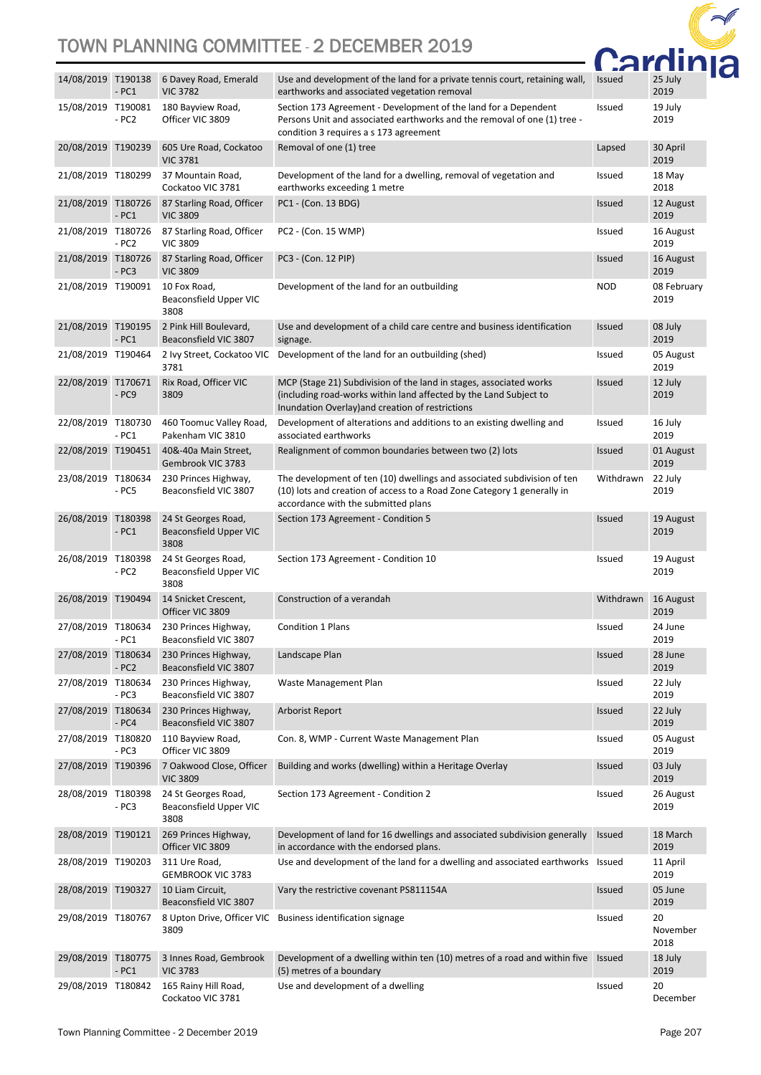

|                    | $-PC1$            | 14/08/2019 T190138 6 Davey Road, Emerald<br><b>VIC 3782</b> | Use and development of the land for a private tennis court, retaining wall,<br>earthworks and associated vegetation removal                                                                 | <b>Issued</b> | 25 July<br>2019        |
|--------------------|-------------------|-------------------------------------------------------------|---------------------------------------------------------------------------------------------------------------------------------------------------------------------------------------------|---------------|------------------------|
| 15/08/2019 T190081 | $- PC2$           | 180 Bayview Road,<br>Officer VIC 3809                       | Section 173 Agreement - Development of the land for a Dependent<br>Persons Unit and associated earthworks and the removal of one (1) tree -<br>condition 3 requires a s 173 agreement       | Issued        | 19 July<br>2019        |
| 20/08/2019 T190239 |                   | 605 Ure Road, Cockatoo<br><b>VIC 3781</b>                   | Removal of one (1) tree                                                                                                                                                                     | Lapsed        | 30 April<br>2019       |
| 21/08/2019 T180299 |                   | 37 Mountain Road,<br>Cockatoo VIC 3781                      | Development of the land for a dwelling, removal of vegetation and<br>earthworks exceeding 1 metre                                                                                           | Issued        | 18 May<br>2018         |
| 21/08/2019 T180726 | $-PC1$            | 87 Starling Road, Officer<br><b>VIC 3809</b>                | PC1 - (Con. 13 BDG)                                                                                                                                                                         | <b>Issued</b> | 12 August<br>2019      |
| 21/08/2019 T180726 | $- PC2$           | 87 Starling Road, Officer<br><b>VIC 3809</b>                | PC2 - (Con. 15 WMP)                                                                                                                                                                         | Issued        | 16 August<br>2019      |
| 21/08/2019 T180726 | $-PC3$            | 87 Starling Road, Officer<br><b>VIC 3809</b>                | PC3 - (Con. 12 PIP)                                                                                                                                                                         | Issued        | 16 August<br>2019      |
| 21/08/2019 T190091 |                   | 10 Fox Road,<br>Beaconsfield Upper VIC<br>3808              | Development of the land for an outbuilding                                                                                                                                                  | <b>NOD</b>    | 08 February<br>2019    |
| 21/08/2019 T190195 | $-PC1$            | 2 Pink Hill Boulevard,<br>Beaconsfield VIC 3807             | Use and development of a child care centre and business identification<br>signage.                                                                                                          | <b>Issued</b> | 08 July<br>2019        |
| 21/08/2019 T190464 |                   | 3781                                                        | 2 Ivy Street, Cockatoo VIC Development of the land for an outbuilding (shed)                                                                                                                | Issued        | 05 August<br>2019      |
| 22/08/2019 T170671 | $- PC9$           | Rix Road, Officer VIC<br>3809                               | MCP (Stage 21) Subdivision of the land in stages, associated works<br>(including road-works within land affected by the Land Subject to<br>Inundation Overlay) and creation of restrictions | <b>Issued</b> | 12 July<br>2019        |
| 22/08/2019 T180730 | $-PC1$            | 460 Toomuc Valley Road,<br>Pakenham VIC 3810                | Development of alterations and additions to an existing dwelling and<br>associated earthworks                                                                                               | Issued        | 16 July<br>2019        |
| 22/08/2019 T190451 |                   | 40&-40a Main Street,<br>Gembrook VIC 3783                   | Realignment of common boundaries between two (2) lots                                                                                                                                       | <b>Issued</b> | 01 August<br>2019      |
| 23/08/2019 T180634 | $-PC5$            | 230 Princes Highway,<br>Beaconsfield VIC 3807               | The development of ten (10) dwellings and associated subdivision of ten<br>(10) lots and creation of access to a Road Zone Category 1 generally in<br>accordance with the submitted plans   | Withdrawn     | 22 July<br>2019        |
| 26/08/2019         | T180398<br>$-PC1$ | 24 St Georges Road,<br>Beaconsfield Upper VIC<br>3808       | Section 173 Agreement - Condition 5                                                                                                                                                         | <b>Issued</b> | 19 August<br>2019      |
| 26/08/2019 T180398 | $- PC2$           | 24 St Georges Road,<br>Beaconsfield Upper VIC<br>3808       | Section 173 Agreement - Condition 10                                                                                                                                                        | Issued        | 19 August<br>2019      |
| 26/08/2019 T190494 |                   | 14 Snicket Crescent,<br>Officer VIC 3809                    | Construction of a verandah                                                                                                                                                                  | Withdrawn     | 16 August<br>2019      |
| 27/08/2019 T180634 | - PC1             | 230 Princes Highway,<br>Beaconsfield VIC 3807               | <b>Condition 1 Plans</b>                                                                                                                                                                    | Issued        | 24 June<br>2019        |
| 27/08/2019 T180634 | $- PC2$           | 230 Princes Highway,<br>Beaconsfield VIC 3807               | Landscape Plan                                                                                                                                                                              | <b>Issued</b> | 28 June<br>2019        |
| 27/08/2019 T180634 | $-PC3$            | 230 Princes Highway,<br>Beaconsfield VIC 3807               | Waste Management Plan                                                                                                                                                                       | Issued        | 22 July<br>2019        |
| 27/08/2019 T180634 | $- PC4$           | 230 Princes Highway,<br>Beaconsfield VIC 3807               | Arborist Report                                                                                                                                                                             | <b>Issued</b> | 22 July<br>2019        |
| 27/08/2019 T180820 | $-PC3$            | 110 Bayview Road,<br>Officer VIC 3809                       | Con. 8, WMP - Current Waste Management Plan                                                                                                                                                 | Issued        | 05 August<br>2019      |
| 27/08/2019 T190396 |                   | 7 Oakwood Close, Officer<br><b>VIC 3809</b>                 | Building and works (dwelling) within a Heritage Overlay                                                                                                                                     | <b>Issued</b> | 03 July<br>2019        |
| 28/08/2019 T180398 | $-PC3$            | 24 St Georges Road,<br>Beaconsfield Upper VIC<br>3808       | Section 173 Agreement - Condition 2                                                                                                                                                         | Issued        | 26 August<br>2019      |
| 28/08/2019 T190121 |                   | 269 Princes Highway,<br>Officer VIC 3809                    | Development of land for 16 dwellings and associated subdivision generally<br>in accordance with the endorsed plans.                                                                         | <b>Issued</b> | 18 March<br>2019       |
| 28/08/2019 T190203 |                   | 311 Ure Road,<br><b>GEMBROOK VIC 3783</b>                   | Use and development of the land for a dwelling and associated earthworks Issued                                                                                                             |               | 11 April<br>2019       |
| 28/08/2019 T190327 |                   | 10 Liam Circuit,<br>Beaconsfield VIC 3807                   | Vary the restrictive covenant PS811154A                                                                                                                                                     | <b>Issued</b> | 05 June<br>2019        |
| 29/08/2019 T180767 |                   | 3809                                                        | 8 Upton Drive, Officer VIC Business identification signage                                                                                                                                  | Issued        | 20<br>November<br>2018 |
| 29/08/2019 T180775 | $-PC1$            | 3 Innes Road, Gembrook<br><b>VIC 3783</b>                   | Development of a dwelling within ten (10) metres of a road and within five<br>(5) metres of a boundary                                                                                      | Issued        | 18 July<br>2019        |
| 29/08/2019 T180842 |                   | 165 Rainy Hill Road,<br>Cockatoo VIC 3781                   | Use and development of a dwelling                                                                                                                                                           | Issued        | 20<br>December         |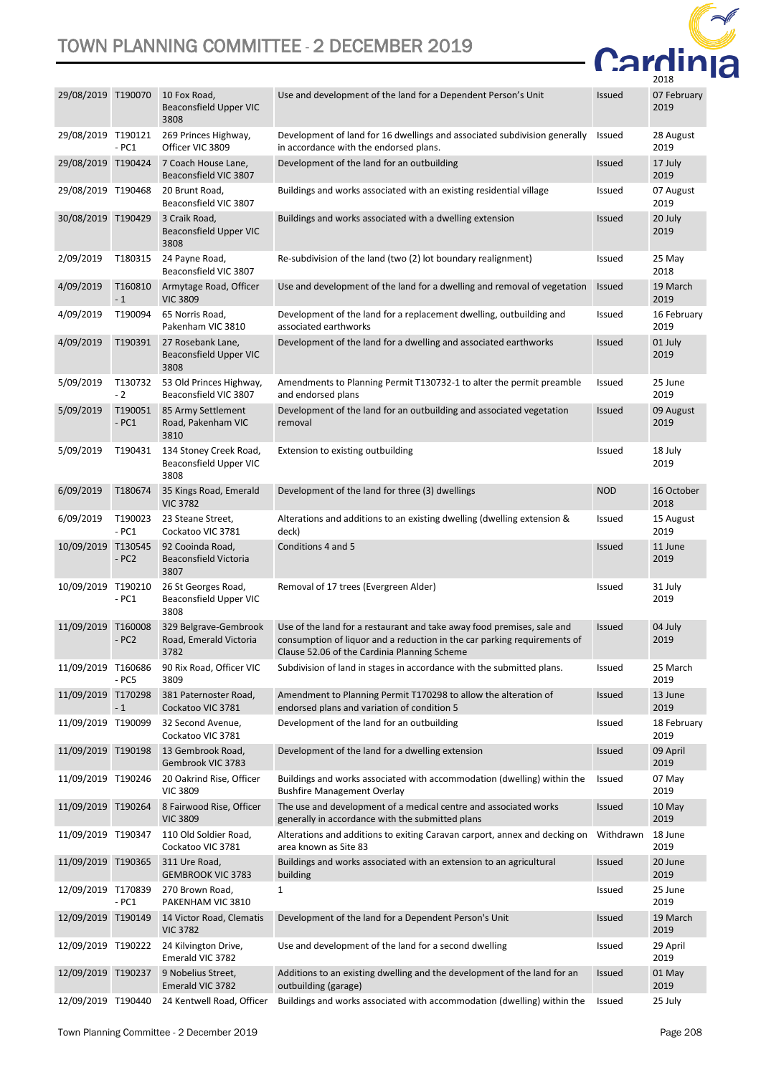

| 29/08/2019 T190070 |                    | 10 Fox Road,<br>Beaconsfield Upper VIC<br>3808           | Use and development of the land for a Dependent Person's Unit                                                                                                                                      | <b>Issued</b> | 07 February<br>2019 |
|--------------------|--------------------|----------------------------------------------------------|----------------------------------------------------------------------------------------------------------------------------------------------------------------------------------------------------|---------------|---------------------|
| 29/08/2019 T190121 | $-PC1$             | 269 Princes Highway,<br>Officer VIC 3809                 | Development of land for 16 dwellings and associated subdivision generally<br>in accordance with the endorsed plans.                                                                                | Issued        | 28 August<br>2019   |
| 29/08/2019 T190424 |                    | 7 Coach House Lane,<br>Beaconsfield VIC 3807             | Development of the land for an outbuilding                                                                                                                                                         | <b>Issued</b> | 17 July<br>2019     |
| 29/08/2019 T190468 |                    | 20 Brunt Road,<br>Beaconsfield VIC 3807                  | Buildings and works associated with an existing residential village                                                                                                                                | <b>Issued</b> | 07 August<br>2019   |
| 30/08/2019 T190429 |                    | 3 Craik Road,<br>Beaconsfield Upper VIC<br>3808          | Buildings and works associated with a dwelling extension                                                                                                                                           | <b>Issued</b> | 20 July<br>2019     |
| 2/09/2019          | T180315            | 24 Payne Road,<br>Beaconsfield VIC 3807                  | Re-subdivision of the land (two (2) lot boundary realignment)                                                                                                                                      | Issued        | 25 May<br>2018      |
| 4/09/2019          | T160810<br>$-1$    | Armytage Road, Officer<br><b>VIC 3809</b>                | Use and development of the land for a dwelling and removal of vegetation                                                                                                                           | <b>Issued</b> | 19 March<br>2019    |
| 4/09/2019          | T190094            | 65 Norris Road,<br>Pakenham VIC 3810                     | Development of the land for a replacement dwelling, outbuilding and<br>associated earthworks                                                                                                       | <b>Issued</b> | 16 February<br>2019 |
| 4/09/2019          | T190391            | 27 Rosebank Lane,<br>Beaconsfield Upper VIC<br>3808      | Development of the land for a dwelling and associated earthworks                                                                                                                                   | <b>Issued</b> | 01 July<br>2019     |
| 5/09/2019          | T130732<br>$-2$    | 53 Old Princes Highway,<br>Beaconsfield VIC 3807         | Amendments to Planning Permit T130732-1 to alter the permit preamble<br>and endorsed plans                                                                                                         | <b>Issued</b> | 25 June<br>2019     |
| 5/09/2019          | T190051<br>$-PC1$  | 85 Army Settlement<br>Road, Pakenham VIC<br>3810         | Development of the land for an outbuilding and associated vegetation<br>removal                                                                                                                    | <b>Issued</b> | 09 August<br>2019   |
| 5/09/2019          | T190431            | 134 Stoney Creek Road,<br>Beaconsfield Upper VIC<br>3808 | Extension to existing outbuilding                                                                                                                                                                  | Issued        | 18 July<br>2019     |
| 6/09/2019          | T180674            | 35 Kings Road, Emerald<br><b>VIC 3782</b>                | Development of the land for three (3) dwellings                                                                                                                                                    | <b>NOD</b>    | 16 October<br>2018  |
| 6/09/2019          | T190023<br>$-PC1$  | 23 Steane Street,<br>Cockatoo VIC 3781                   | Alterations and additions to an existing dwelling (dwelling extension &<br>deck)                                                                                                                   | Issued        | 15 August<br>2019   |
| 10/09/2019         | T130545<br>$-PC2$  | 92 Cooinda Road,<br>Beaconsfield Victoria<br>3807        | Conditions 4 and 5                                                                                                                                                                                 | <b>Issued</b> | 11 June<br>2019     |
| 10/09/2019 T190210 | $-PC1$             | 26 St Georges Road,<br>Beaconsfield Upper VIC<br>3808    | Removal of 17 trees (Evergreen Alder)                                                                                                                                                              | <b>Issued</b> | 31 July<br>2019     |
| 11/09/2019         | T160008<br>$- PC2$ | 329 Belgrave-Gembrook<br>Road, Emerald Victoria<br>3782  | Use of the land for a restaurant and take away food premises, sale and<br>consumption of liquor and a reduction in the car parking requirements of<br>Clause 52.06 of the Cardinia Planning Scheme | <b>Issued</b> | 04 July<br>2019     |
| 11/09/2019 T160686 | - PC5              | 90 Rix Road, Officer VIC<br>3809                         | Subdivision of land in stages in accordance with the submitted plans.                                                                                                                              | Issued        | 25 March<br>2019    |
| 11/09/2019 T170298 | $-1$               | 381 Paternoster Road,<br>Cockatoo VIC 3781               | Amendment to Planning Permit T170298 to allow the alteration of<br>endorsed plans and variation of condition 5                                                                                     | <b>Issued</b> | 13 June<br>2019     |
| 11/09/2019 T190099 |                    | 32 Second Avenue,<br>Cockatoo VIC 3781                   | Development of the land for an outbuilding                                                                                                                                                         | Issued        | 18 February<br>2019 |
| 11/09/2019 T190198 |                    | 13 Gembrook Road,<br>Gembrook VIC 3783                   | Development of the land for a dwelling extension                                                                                                                                                   | <b>Issued</b> | 09 April<br>2019    |
| 11/09/2019 T190246 |                    | 20 Oakrind Rise, Officer<br><b>VIC 3809</b>              | Buildings and works associated with accommodation (dwelling) within the<br><b>Bushfire Management Overlay</b>                                                                                      | Issued        | 07 May<br>2019      |
| 11/09/2019 T190264 |                    | 8 Fairwood Rise, Officer<br><b>VIC 3809</b>              | The use and development of a medical centre and associated works<br>generally in accordance with the submitted plans                                                                               | <b>Issued</b> | 10 May<br>2019      |
| 11/09/2019 T190347 |                    | 110 Old Soldier Road,<br>Cockatoo VIC 3781               | Alterations and additions to exiting Caravan carport, annex and decking on<br>area known as Site 83                                                                                                | Withdrawn     | 18 June<br>2019     |
| 11/09/2019 T190365 |                    | 311 Ure Road,<br><b>GEMBROOK VIC 3783</b>                | Buildings and works associated with an extension to an agricultural<br>building                                                                                                                    | <b>Issued</b> | 20 June<br>2019     |
| 12/09/2019 T170839 | $-PC1$             | 270 Brown Road,<br>PAKENHAM VIC 3810                     | $\mathbf{1}$                                                                                                                                                                                       | Issued        | 25 June<br>2019     |
| 12/09/2019 T190149 |                    | 14 Victor Road, Clematis<br><b>VIC 3782</b>              | Development of the land for a Dependent Person's Unit                                                                                                                                              | <b>Issued</b> | 19 March<br>2019    |
| 12/09/2019 T190222 |                    | 24 Kilvington Drive,<br>Emerald VIC 3782                 | Use and development of the land for a second dwelling                                                                                                                                              | Issued        | 29 April<br>2019    |
| 12/09/2019 T190237 |                    | 9 Nobelius Street,<br>Emerald VIC 3782                   | Additions to an existing dwelling and the development of the land for an<br>outbuilding (garage)                                                                                                   | <b>Issued</b> | 01 May<br>2019      |
| 12/09/2019 T190440 |                    | 24 Kentwell Road, Officer                                | Buildings and works associated with accommodation (dwelling) within the                                                                                                                            | Issued        | 25 July             |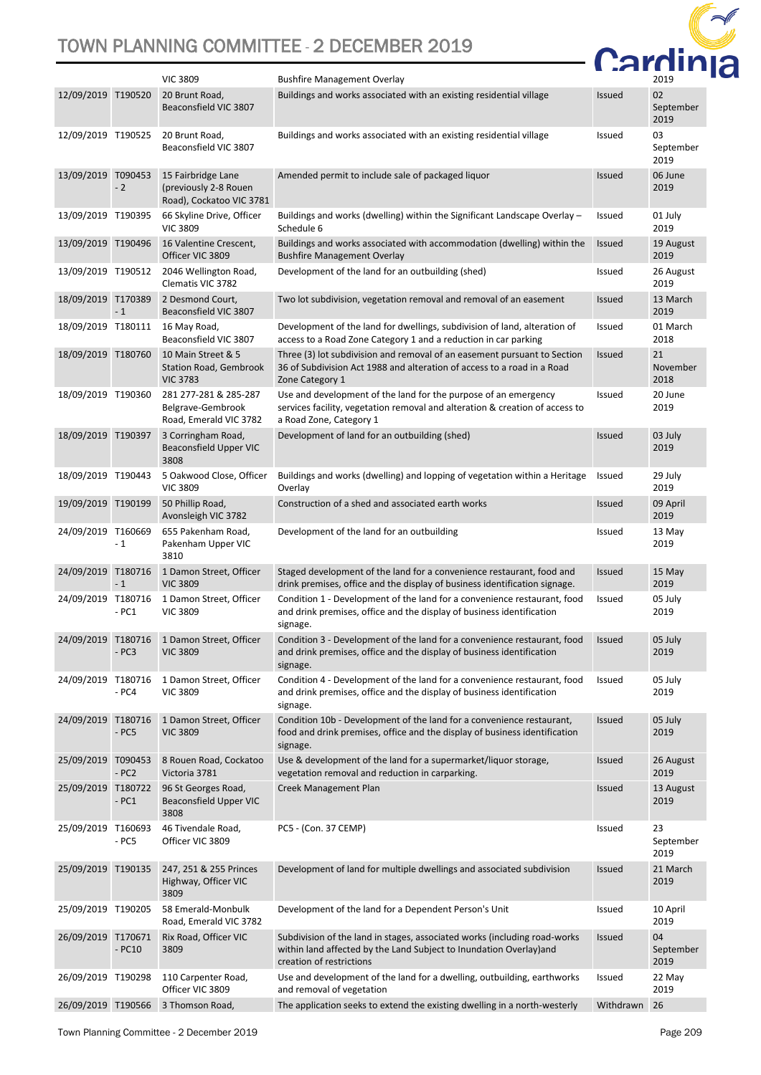

|                    |                   | <b>VIC 3809</b>                                                         | <b>Bushfire Management Overlay</b>                                                                                                                                           |               | 2019                    |
|--------------------|-------------------|-------------------------------------------------------------------------|------------------------------------------------------------------------------------------------------------------------------------------------------------------------------|---------------|-------------------------|
| 12/09/2019 T190520 |                   | 20 Brunt Road,<br>Beaconsfield VIC 3807                                 | Buildings and works associated with an existing residential village                                                                                                          | <b>Issued</b> | 02<br>September<br>2019 |
| 12/09/2019 T190525 |                   | 20 Brunt Road,<br>Beaconsfield VIC 3807                                 | Buildings and works associated with an existing residential village                                                                                                          | <b>Issued</b> | 03<br>September<br>2019 |
| 13/09/2019 T090453 | $-2$              | 15 Fairbridge Lane<br>(previously 2-8 Rouen<br>Road), Cockatoo VIC 3781 | Amended permit to include sale of packaged liquor                                                                                                                            | Issued        | 06 June<br>2019         |
| 13/09/2019 T190395 |                   | 66 Skyline Drive, Officer<br><b>VIC 3809</b>                            | Buildings and works (dwelling) within the Significant Landscape Overlay -<br>Schedule 6                                                                                      | Issued        | 01 July<br>2019         |
| 13/09/2019 T190496 |                   | 16 Valentine Crescent,<br>Officer VIC 3809                              | Buildings and works associated with accommodation (dwelling) within the<br><b>Bushfire Management Overlay</b>                                                                | Issued        | 19 August<br>2019       |
| 13/09/2019 T190512 |                   | 2046 Wellington Road,<br>Clematis VIC 3782                              | Development of the land for an outbuilding (shed)                                                                                                                            | <b>Issued</b> | 26 August<br>2019       |
| 18/09/2019 T170389 | $-1$              | 2 Desmond Court,<br>Beaconsfield VIC 3807                               | Two lot subdivision, vegetation removal and removal of an easement                                                                                                           | Issued        | 13 March<br>2019        |
| 18/09/2019 T180111 |                   | 16 May Road,<br>Beaconsfield VIC 3807                                   | Development of the land for dwellings, subdivision of land, alteration of<br>access to a Road Zone Category 1 and a reduction in car parking                                 | Issued        | 01 March<br>2018        |
| 18/09/2019 T180760 |                   | 10 Main Street & 5<br><b>Station Road, Gembrook</b><br><b>VIC 3783</b>  | Three (3) lot subdivision and removal of an easement pursuant to Section<br>36 of Subdivision Act 1988 and alteration of access to a road in a Road<br>Zone Category 1       | <b>Issued</b> | 21<br>November<br>2018  |
| 18/09/2019 T190360 |                   | 281 277-281 & 285-287<br>Belgrave-Gembrook<br>Road, Emerald VIC 3782    | Use and development of the land for the purpose of an emergency<br>services facility, vegetation removal and alteration & creation of access to<br>a Road Zone, Category 1   | Issued        | 20 June<br>2019         |
| 18/09/2019 T190397 |                   | 3 Corringham Road,<br>Beaconsfield Upper VIC<br>3808                    | Development of land for an outbuilding (shed)                                                                                                                                | Issued        | 03 July<br>2019         |
| 18/09/2019 T190443 |                   | 5 Oakwood Close, Officer<br><b>VIC 3809</b>                             | Buildings and works (dwelling) and lopping of vegetation within a Heritage<br>Overlay                                                                                        | Issued        | 29 July<br>2019         |
| 19/09/2019 T190199 |                   | 50 Phillip Road,<br>Avonsleigh VIC 3782                                 | Construction of a shed and associated earth works                                                                                                                            | Issued        | 09 April<br>2019        |
| 24/09/2019 T160669 | $-1$              | 655 Pakenham Road,<br>Pakenham Upper VIC<br>3810                        | Development of the land for an outbuilding                                                                                                                                   | Issued        | 13 May<br>2019          |
| 24/09/2019 T180716 | $-1$              | 1 Damon Street, Officer<br><b>VIC 3809</b>                              | Staged development of the land for a convenience restaurant, food and<br>drink premises, office and the display of business identification signage.                          | <b>Issued</b> | 15 May<br>2019          |
| 24/09/2019 T180716 | $-PC1$            | 1 Damon Street, Officer<br><b>VIC 3809</b>                              | Condition 1 - Development of the land for a convenience restaurant, food<br>and drink premises, office and the display of business identification<br>signage.                | Issued        | 05 July<br>2019         |
| 24/09/2019 T180716 | $-PC3$            | 1 Damon Street, Officer<br><b>VIC 3809</b>                              | Condition 3 - Development of the land for a convenience restaurant, food<br>and drink premises, office and the display of business identification<br>signage.                | <b>Issued</b> | 05 July<br>2019         |
| 24/09/2019 T180716 | $- PC4$           | 1 Damon Street, Officer<br><b>VIC 3809</b>                              | Condition 4 - Development of the land for a convenience restaurant, food<br>and drink premises, office and the display of business identification<br>signage.                | Issued        | 05 July<br>2019         |
| 24/09/2019 T180716 | $-PC5$            | 1 Damon Street, Officer<br><b>VIC 3809</b>                              | Condition 10b - Development of the land for a convenience restaurant,<br>food and drink premises, office and the display of business identification<br>signage.              | Issued        | 05 July<br>2019         |
| 25/09/2019         | T090453<br>$-PC2$ | 8 Rouen Road, Cockatoo<br>Victoria 3781                                 | Use & development of the land for a supermarket/liquor storage,<br>vegetation removal and reduction in carparking.                                                           | <b>Issued</b> | 26 August<br>2019       |
| 25/09/2019 T180722 | $-PC1$            | 96 St Georges Road,<br>Beaconsfield Upper VIC<br>3808                   | Creek Management Plan                                                                                                                                                        | <b>Issued</b> | 13 August<br>2019       |
| 25/09/2019 T160693 | - PC5             | 46 Tivendale Road,<br>Officer VIC 3809                                  | PC5 - (Con. 37 CEMP)                                                                                                                                                         | <b>Issued</b> | 23<br>September<br>2019 |
| 25/09/2019         | T190135           | 247, 251 & 255 Princes<br>Highway, Officer VIC<br>3809                  | Development of land for multiple dwellings and associated subdivision                                                                                                        | <b>Issued</b> | 21 March<br>2019        |
| 25/09/2019 T190205 |                   | 58 Emerald-Monbulk<br>Road, Emerald VIC 3782                            | Development of the land for a Dependent Person's Unit                                                                                                                        | Issued        | 10 April<br>2019        |
| 26/09/2019 T170671 | $-PC10$           | Rix Road, Officer VIC<br>3809                                           | Subdivision of the land in stages, associated works (including road-works<br>within land affected by the Land Subject to Inundation Overlay) and<br>creation of restrictions | <b>Issued</b> | 04<br>September<br>2019 |
| 26/09/2019 T190298 |                   | 110 Carpenter Road,<br>Officer VIC 3809                                 | Use and development of the land for a dwelling, outbuilding, earthworks<br>and removal of vegetation                                                                         | Issued        | 22 May<br>2019          |
| 26/09/2019 T190566 |                   | 3 Thomson Road,                                                         | The application seeks to extend the existing dwelling in a north-westerly                                                                                                    | Withdrawn     | 26                      |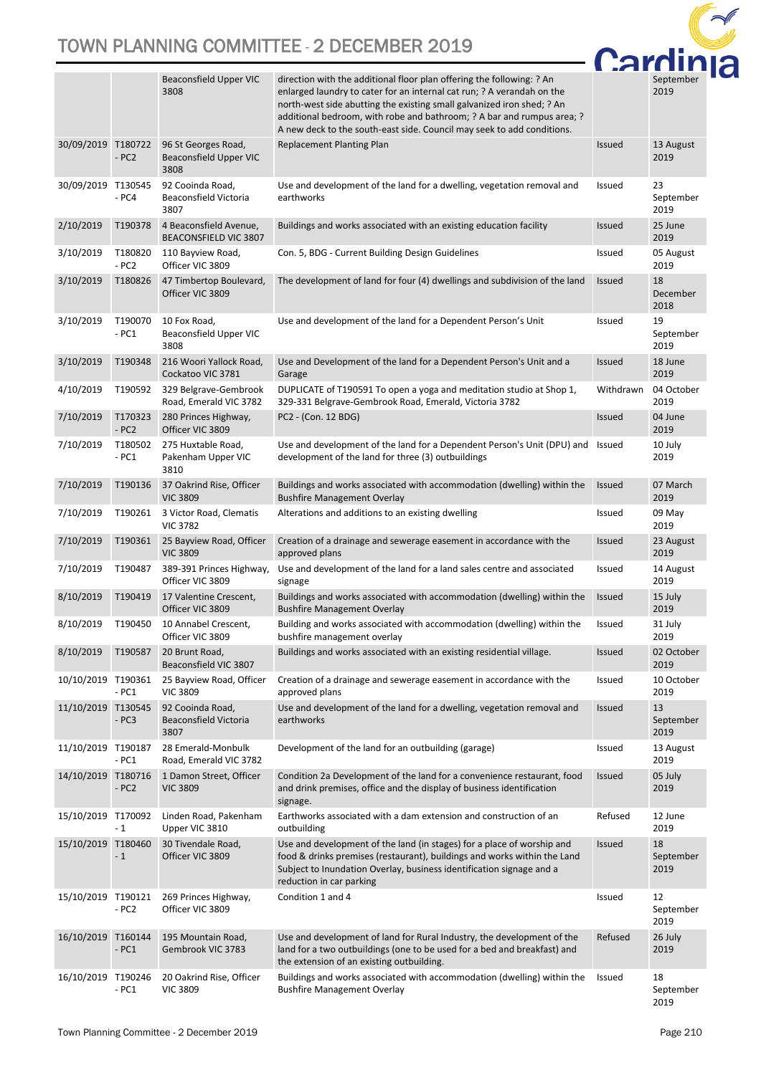

|                    |                    | Beaconsfield Upper VIC<br>3808                           | direction with the additional floor plan offering the following: ? An<br>enlarged laundry to cater for an internal cat run; ? A verandah on the<br>north-west side abutting the existing small galvanized iron shed; ? An<br>additional bedroom, with robe and bathroom; ? A bar and rumpus area; ?<br>A new deck to the south-east side. Council may seek to add conditions. |               | September<br>2019       |
|--------------------|--------------------|----------------------------------------------------------|-------------------------------------------------------------------------------------------------------------------------------------------------------------------------------------------------------------------------------------------------------------------------------------------------------------------------------------------------------------------------------|---------------|-------------------------|
| 30/09/2019 T180722 | $- PC2$            | 96 St Georges Road,<br>Beaconsfield Upper VIC<br>3808    | <b>Replacement Planting Plan</b>                                                                                                                                                                                                                                                                                                                                              | <b>Issued</b> | 13 August<br>2019       |
| 30/09/2019 T130545 | - PC4              | 92 Cooinda Road,<br><b>Beaconsfield Victoria</b><br>3807 | Use and development of the land for a dwelling, vegetation removal and<br>earthworks                                                                                                                                                                                                                                                                                          | <b>Issued</b> | 23<br>September<br>2019 |
| 2/10/2019          | T190378            | 4 Beaconsfield Avenue,<br>BEACONSFIELD VIC 3807          | Buildings and works associated with an existing education facility                                                                                                                                                                                                                                                                                                            | <b>Issued</b> | 25 June<br>2019         |
| 3/10/2019          | T180820<br>$- PC2$ | 110 Bayview Road,<br>Officer VIC 3809                    | Con. 5, BDG - Current Building Design Guidelines                                                                                                                                                                                                                                                                                                                              | Issued        | 05 August<br>2019       |
| 3/10/2019          | T180826            | 47 Timbertop Boulevard,<br>Officer VIC 3809              | The development of land for four (4) dwellings and subdivision of the land                                                                                                                                                                                                                                                                                                    | <b>Issued</b> | 18<br>December<br>2018  |
| 3/10/2019          | T190070<br>- PC1   | 10 Fox Road,<br>Beaconsfield Upper VIC<br>3808           | Use and development of the land for a Dependent Person's Unit                                                                                                                                                                                                                                                                                                                 | <b>Issued</b> | 19<br>September<br>2019 |
| 3/10/2019          | T190348            | 216 Woori Yallock Road,<br>Cockatoo VIC 3781             | Use and Development of the land for a Dependent Person's Unit and a<br>Garage                                                                                                                                                                                                                                                                                                 | Issued        | 18 June<br>2019         |
| 4/10/2019          | T190592            | 329 Belgrave-Gembrook<br>Road, Emerald VIC 3782          | DUPLICATE of T190591 To open a yoga and meditation studio at Shop 1,<br>329-331 Belgrave-Gembrook Road, Emerald, Victoria 3782                                                                                                                                                                                                                                                | Withdrawn     | 04 October<br>2019      |
| 7/10/2019          | T170323<br>$-PC2$  | 280 Princes Highway,<br>Officer VIC 3809                 | PC2 - (Con. 12 BDG)                                                                                                                                                                                                                                                                                                                                                           | <b>Issued</b> | 04 June<br>2019         |
| 7/10/2019          | T180502<br>- PC1   | 275 Huxtable Road,<br>Pakenham Upper VIC<br>3810         | Use and development of the land for a Dependent Person's Unit (DPU) and Issued<br>development of the land for three (3) outbuildings                                                                                                                                                                                                                                          |               | 10 July<br>2019         |
| 7/10/2019          | T190136            | 37 Oakrind Rise, Officer<br><b>VIC 3809</b>              | Buildings and works associated with accommodation (dwelling) within the<br><b>Bushfire Management Overlay</b>                                                                                                                                                                                                                                                                 | <b>Issued</b> | 07 March<br>2019        |
| 7/10/2019          | T190261            | 3 Victor Road, Clematis<br><b>VIC 3782</b>               | Alterations and additions to an existing dwelling                                                                                                                                                                                                                                                                                                                             | Issued        | 09 May<br>2019          |
| 7/10/2019          | T190361            | 25 Bayview Road, Officer<br><b>VIC 3809</b>              | Creation of a drainage and sewerage easement in accordance with the<br>approved plans                                                                                                                                                                                                                                                                                         | <b>Issued</b> | 23 August<br>2019       |
| 7/10/2019          | T190487            | 389-391 Princes Highway,<br>Officer VIC 3809             | Use and development of the land for a land sales centre and associated<br>signage                                                                                                                                                                                                                                                                                             | Issued        | 14 August<br>2019       |
| 8/10/2019          | T190419            | 17 Valentine Crescent,<br>Officer VIC 3809               | Buildings and works associated with accommodation (dwelling) within the<br><b>Bushfire Management Overlay</b>                                                                                                                                                                                                                                                                 | <b>Issued</b> | 15 July<br>2019         |
| 8/10/2019          | T190450            | 10 Annabel Crescent,<br>Officer VIC 3809                 | Building and works associated with accommodation (dwelling) within the<br>bushfire management overlay                                                                                                                                                                                                                                                                         | <b>Issued</b> | 31 July<br>2019         |
| 8/10/2019          | T190587            | 20 Brunt Road,<br>Beaconsfield VIC 3807                  | Buildings and works associated with an existing residential village.                                                                                                                                                                                                                                                                                                          | <b>Issued</b> | 02 October<br>2019      |
| 10/10/2019 T190361 | $-PC1$             | 25 Bayview Road, Officer<br><b>VIC 3809</b>              | Creation of a drainage and sewerage easement in accordance with the<br>approved plans                                                                                                                                                                                                                                                                                         | Issued        | 10 October<br>2019      |
| 11/10/2019         | T130545<br>$-PC3$  | 92 Cooinda Road,<br>Beaconsfield Victoria<br>3807        | Use and development of the land for a dwelling, vegetation removal and<br>earthworks                                                                                                                                                                                                                                                                                          | <b>Issued</b> | 13<br>September<br>2019 |
| 11/10/2019 T190187 | - PC1              | 28 Emerald-Monbulk<br>Road, Emerald VIC 3782             | Development of the land for an outbuilding (garage)                                                                                                                                                                                                                                                                                                                           | Issued        | 13 August<br>2019       |
| 14/10/2019 T180716 | $- PC2$            | 1 Damon Street, Officer<br><b>VIC 3809</b>               | Condition 2a Development of the land for a convenience restaurant, food<br>and drink premises, office and the display of business identification<br>signage.                                                                                                                                                                                                                  | <b>Issued</b> | 05 July<br>2019         |
| 15/10/2019 T170092 | $-1$               | Linden Road, Pakenham<br>Upper VIC 3810                  | Earthworks associated with a dam extension and construction of an<br>outbuilding                                                                                                                                                                                                                                                                                              | Refused       | 12 June<br>2019         |
| 15/10/2019         | T180460<br>$-1$    | 30 Tivendale Road,<br>Officer VIC 3809                   | Use and development of the land (in stages) for a place of worship and<br>food & drinks premises (restaurant), buildings and works within the Land<br>Subject to Inundation Overlay, business identification signage and a<br>reduction in car parking                                                                                                                        | <b>Issued</b> | 18<br>September<br>2019 |
| 15/10/2019 T190121 | - PC2              | 269 Princes Highway,<br>Officer VIC 3809                 | Condition 1 and 4                                                                                                                                                                                                                                                                                                                                                             | Issued        | 12<br>September<br>2019 |
| 16/10/2019         | T160144<br>$-PC1$  | 195 Mountain Road,<br>Gembrook VIC 3783                  | Use and development of land for Rural Industry, the development of the<br>land for a two outbuildings (one to be used for a bed and breakfast) and<br>the extension of an existing outbuilding.                                                                                                                                                                               | Refused       | 26 July<br>2019         |
| 16/10/2019 T190246 | - PC1              | 20 Oakrind Rise, Officer<br><b>VIC 3809</b>              | Buildings and works associated with accommodation (dwelling) within the<br><b>Bushfire Management Overlay</b>                                                                                                                                                                                                                                                                 | Issued        | 18<br>September<br>2019 |